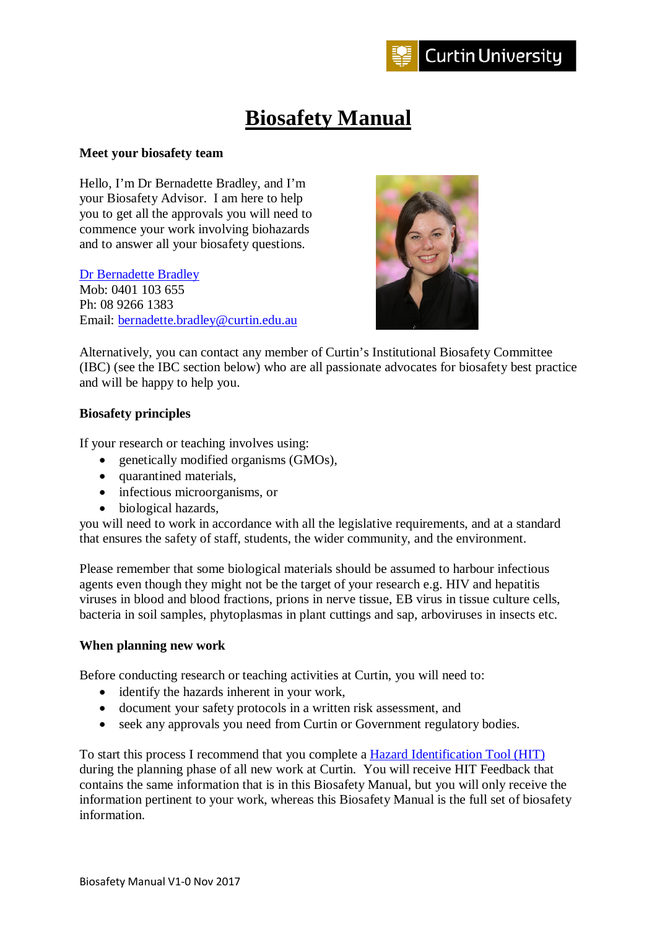

# **Biosafety Manual**

## **Meet your biosafety team**

Hello, I'm Dr Bernadette Bradley, and I'm your Biosafety Advisor. I am here to help you to get all the approvals you will need to commence your work involving biohazards and to answer all your biosafety questions.

[Dr Bernadette Bradley](http://oasisapps.curtin.edu.au/staff/profile/view/Bernadette.Bradley) Mob: 0401 103 655 Ph: 08 9266 1383 Email: [bernadette.bradley@curtin.edu.au](mailto:bernadette.bradley@curtin.edu.au)



Alternatively, you can contact any member of Curtin's Institutional Biosafety Committee (IBC) (see the IBC section below) who are all passionate advocates for biosafety best practice and will be happy to help you.

## **Biosafety principles**

If your research or teaching involves using:

- genetically modified organisms (GMOs),
- quarantined materials,
- infectious microorganisms, or
- biological hazards.

you will need to work in accordance with all the legislative requirements, and at a standard that ensures the safety of staff, students, the wider community, and the environment.

Please remember that some biological materials should be assumed to harbour infectious agents even though they might not be the target of your research e.g. HIV and hepatitis viruses in blood and blood fractions, prions in nerve tissue, EB virus in tissue culture cells, bacteria in soil samples, phytoplasmas in plant cuttings and sap, arboviruses in insects etc.

## **When planning new work**

Before conducting research or teaching activities at Curtin, you will need to:

- identify the hazards inherent in your work,
- document your safety protocols in a written risk assessment, and
- seek any approvals you need from Curtin or Government regulatory bodies.

To start this process I recommend that you complete a [Hazard Identification Tool \(HIT\)](https://hit.curtin.edu.au/auth/login) during the planning phase of all new work at Curtin. You will receive HIT Feedback that contains the same information that is in this Biosafety Manual, but you will only receive the information pertinent to your work, whereas this Biosafety Manual is the full set of biosafety information.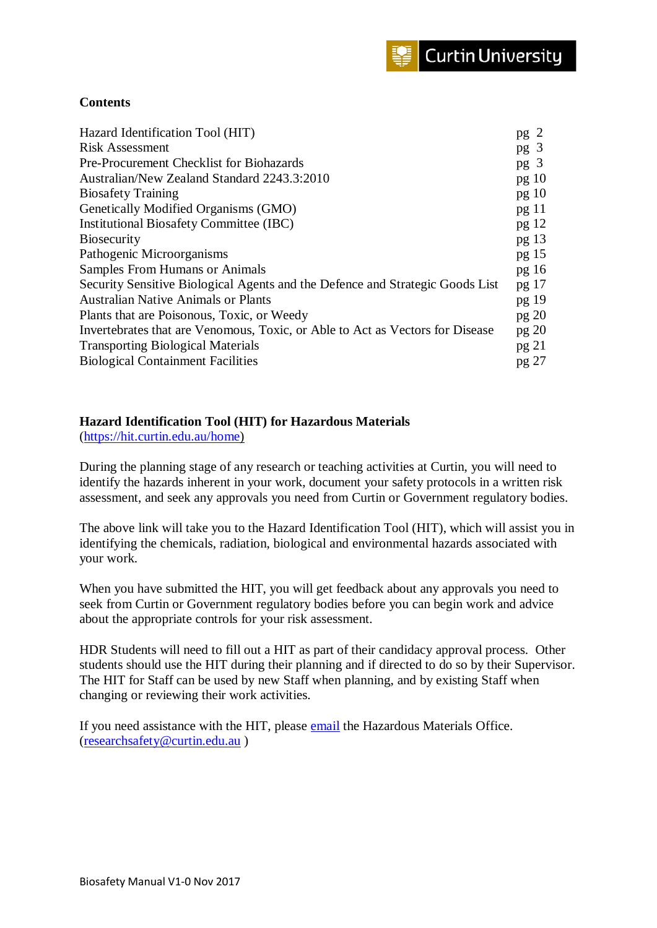## **Contents**

| Hazard Identification Tool (HIT)                                              | pg <sub>2</sub>  |
|-------------------------------------------------------------------------------|------------------|
| <b>Risk Assessment</b>                                                        | pg <sub>3</sub>  |
| <b>Pre-Procurement Checklist for Biohazards</b>                               | pg <sub>3</sub>  |
| Australian/New Zealand Standard 2243.3:2010                                   | pg 10            |
| <b>Biosafety Training</b>                                                     | pg 10            |
| Genetically Modified Organisms (GMO)                                          | pg 11            |
| <b>Institutional Biosafety Committee (IBC)</b>                                | pg 12            |
| <b>Biosecurity</b>                                                            | pg <sub>13</sub> |
| Pathogenic Microorganisms                                                     | pg <sub>15</sub> |
| <b>Samples From Humans or Animals</b>                                         | pg16             |
| Security Sensitive Biological Agents and the Defence and Strategic Goods List | pg 17            |
| <b>Australian Native Animals or Plants</b>                                    | pg 19            |
| Plants that are Poisonous, Toxic, or Weedy                                    | pg 20            |
| Invertebrates that are Venomous, Toxic, or Able to Act as Vectors for Disease | pg 20            |
| <b>Transporting Biological Materials</b>                                      | pg 21            |
| <b>Biological Containment Facilities</b>                                      | pg 27            |
|                                                                               |                  |

## **Hazard Identification Tool (HIT) for Hazardous Materials**

[\(https://hit.curtin.edu.au/home\)](https://hit.curtin.edu.au/home)

During the planning stage of any research or teaching activities at Curtin, you will need to identify the hazards inherent in your work, document your safety protocols in a written risk assessment, and seek any approvals you need from Curtin or Government regulatory bodies.

The above link will take you to the Hazard Identification Tool (HIT), which will assist you in identifying the chemicals, radiation, biological and environmental hazards associated with your work.

When you have submitted the HIT, you will get feedback about any approvals you need to seek from Curtin or Government regulatory bodies before you can begin work and advice about the appropriate controls for your risk assessment.

HDR Students will need to fill out a HIT as part of their candidacy approval process. Other students should use the HIT during their planning and if directed to do so by their Supervisor. The HIT for Staff can be used by new Staff when planning, and by existing Staff when changing or reviewing their work activities.

If you need assistance with the HIT, please [email](mailto:ResearchSafety@curtin.edu.au) the Hazardous Materials Office. [\(researchsafety@curtin.edu.au](mailto:researchsafety@curtin.edu.au) )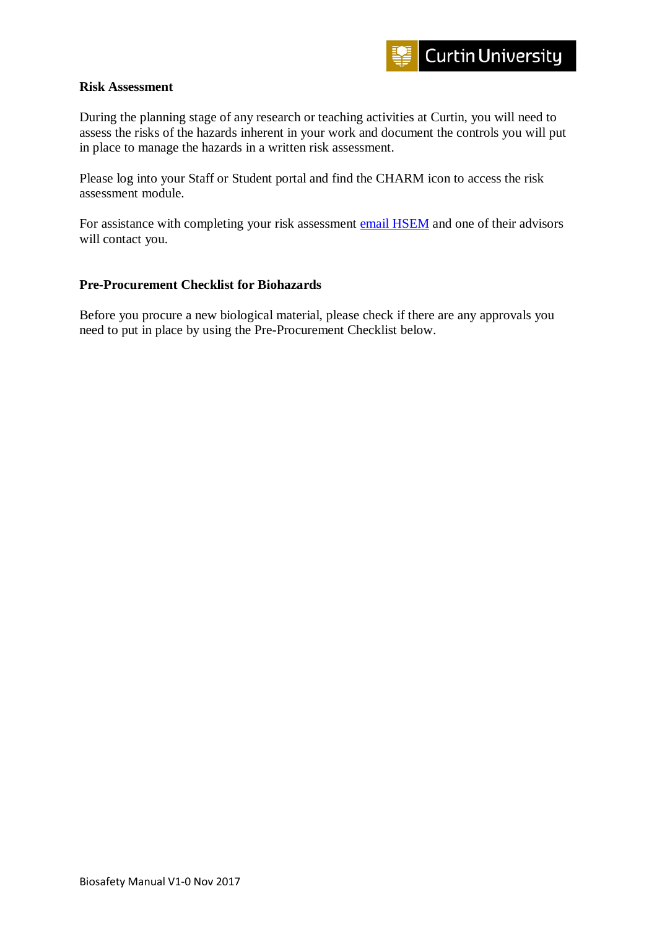## **Risk Assessment**

During the planning stage of any research or teaching activities at Curtin, you will need to assess the risks of the hazards inherent in your work and document the controls you will put in place to manage the hazards in a written risk assessment.

Please log into your Staff or Student portal and find the CHARM icon to access the risk assessment module.

For assistance with completing your risk assessment [email HSEM](mailto:HealthandSafety@curtin.edu.au) and one of their advisors will contact you.

## **Pre-Procurement Checklist for Biohazards**

Before you procure a new biological material, please check if there are any approvals you need to put in place by using the Pre-Procurement Checklist below.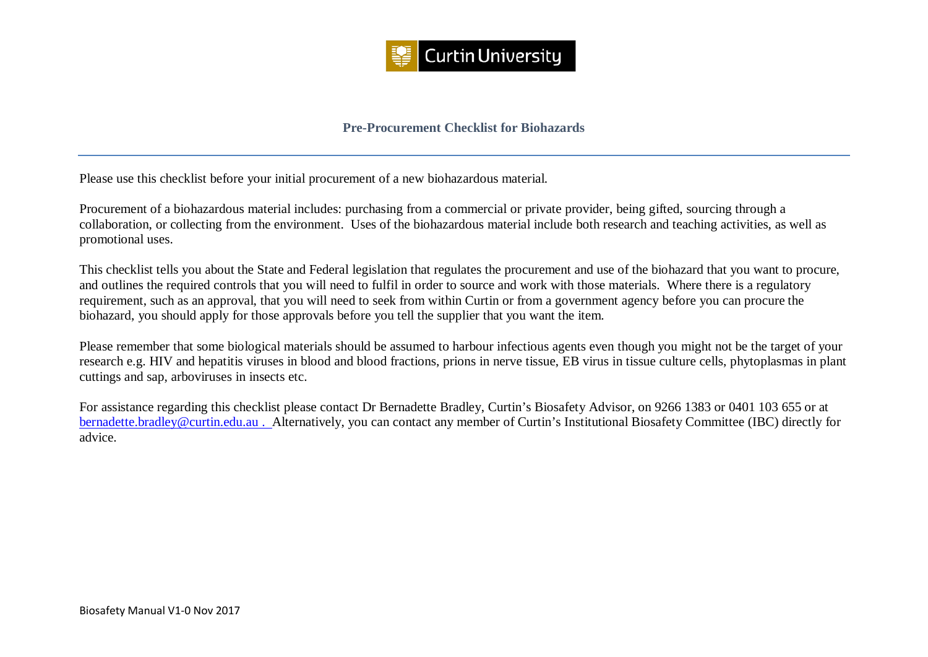

## **Pre-Procurement Checklist for Biohazards**

Please use this checklist before your initial procurement of a new biohazardous material.

Procurement of a biohazardous material includes: purchasing from a commercial or private provider, being gifted, sourcing through a collaboration, or collecting from the environment. Uses of the biohazardous material include both research and teaching activities, as well as promotional uses.

This checklist tells you about the State and Federal legislation that regulates the procurement and use of the biohazard that you want to procure, and outlines the required controls that you will need to fulfil in order to source and work with those materials. Where there is a regulatory requirement, such as an approval, that you will need to seek from within Curtin or from a government agency before you can procure the biohazard, you should apply for those approvals before you tell the supplier that you want the item.

Please remember that some biological materials should be assumed to harbour infectious agents even though you might not be the target of your research e.g. HIV and hepatitis viruses in blood and blood fractions, prions in nerve tissue, EB virus in tissue culture cells, phytoplasmas in plant cuttings and sap, arboviruses in insects etc.

For assistance regarding this checklist please contact Dr Bernadette Bradley, Curtin's Biosafety Advisor, on 9266 1383 or 0401 103 655 or at [bernadette.bradley@curtin.edu.au](mailto:bernadette.bradley@curtin.edu.au) . Alternatively, you can contact any member of Curtin's Institutional Biosafety Committee (IBC) directly for advice.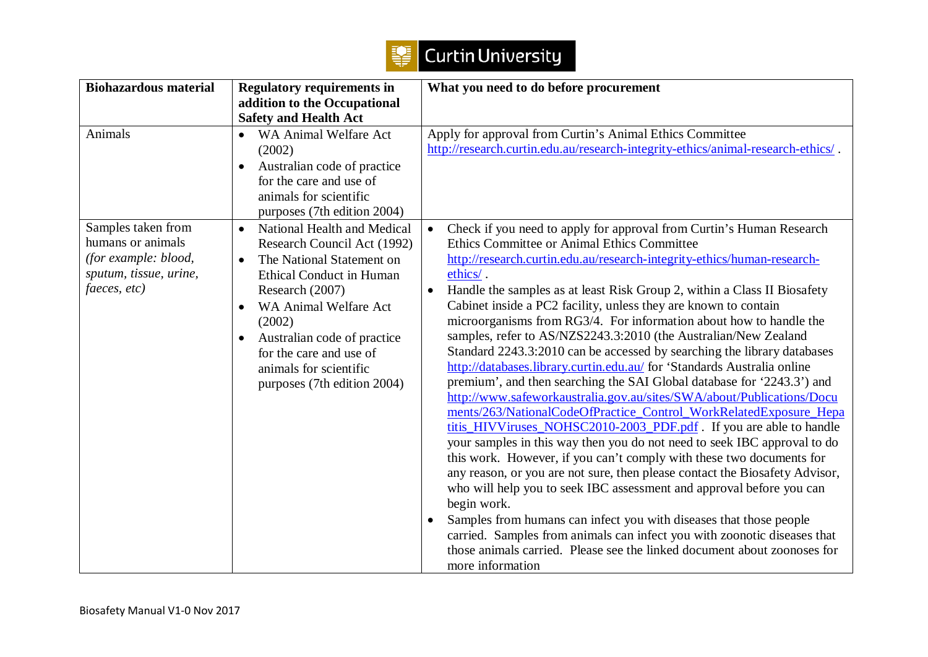

| <b>Biohazardous material</b>                                                                              | <b>Regulatory requirements in</b><br>addition to the Occupational                                                                                                                                                                                                                                                                                       | What you need to do before procurement                                                                                                                                                                                                                                                                                                                                                                                                                                                                                                                                                                                                                                                                                                                                                                                                                                                                                                                                                                                                                                                                                                                                                                                                                                                                                                                                                                                                                                                                                                            |
|-----------------------------------------------------------------------------------------------------------|---------------------------------------------------------------------------------------------------------------------------------------------------------------------------------------------------------------------------------------------------------------------------------------------------------------------------------------------------------|---------------------------------------------------------------------------------------------------------------------------------------------------------------------------------------------------------------------------------------------------------------------------------------------------------------------------------------------------------------------------------------------------------------------------------------------------------------------------------------------------------------------------------------------------------------------------------------------------------------------------------------------------------------------------------------------------------------------------------------------------------------------------------------------------------------------------------------------------------------------------------------------------------------------------------------------------------------------------------------------------------------------------------------------------------------------------------------------------------------------------------------------------------------------------------------------------------------------------------------------------------------------------------------------------------------------------------------------------------------------------------------------------------------------------------------------------------------------------------------------------------------------------------------------------|
|                                                                                                           | <b>Safety and Health Act</b>                                                                                                                                                                                                                                                                                                                            |                                                                                                                                                                                                                                                                                                                                                                                                                                                                                                                                                                                                                                                                                                                                                                                                                                                                                                                                                                                                                                                                                                                                                                                                                                                                                                                                                                                                                                                                                                                                                   |
| Animals                                                                                                   | WA Animal Welfare Act<br>$\bullet$<br>(2002)<br>Australian code of practice<br>$\bullet$<br>for the care and use of<br>animals for scientific<br>purposes (7th edition 2004)                                                                                                                                                                            | Apply for approval from Curtin's Animal Ethics Committee<br>http://research.curtin.edu.au/research-integrity-ethics/animal-research-ethics/.                                                                                                                                                                                                                                                                                                                                                                                                                                                                                                                                                                                                                                                                                                                                                                                                                                                                                                                                                                                                                                                                                                                                                                                                                                                                                                                                                                                                      |
| Samples taken from<br>humans or animals<br>(for example: blood,<br>sputum, tissue, urine,<br>faeces, etc) | National Health and Medical<br>$\bullet$<br>Research Council Act (1992)<br>The National Statement on<br>$\bullet$<br><b>Ethical Conduct in Human</b><br>Research (2007)<br>WA Animal Welfare Act<br>$\bullet$<br>(2002)<br>Australian code of practice<br>$\bullet$<br>for the care and use of<br>animals for scientific<br>purposes (7th edition 2004) | • Check if you need to apply for approval from Curtin's Human Research<br>Ethics Committee or Animal Ethics Committee<br>http://research.curtin.edu.au/research-integrity-ethics/human-research-<br>ethics/.<br>Handle the samples as at least Risk Group 2, within a Class II Biosafety<br>Cabinet inside a PC2 facility, unless they are known to contain<br>microorganisms from RG3/4. For information about how to handle the<br>samples, refer to AS/NZS2243.3:2010 (the Australian/New Zealand<br>Standard 2243.3:2010 can be accessed by searching the library databases<br>http://databases.library.curtin.edu.au/ for 'Standards Australia online<br>premium', and then searching the SAI Global database for '2243.3') and<br>http://www.safeworkaustralia.gov.au/sites/SWA/about/Publications/Docu<br>ments/263/NationalCodeOfPractice_Control_WorkRelatedExposure_Hepa<br>titis_HIVViruses_NOHSC2010-2003_PDF.pdf. If you are able to handle<br>your samples in this way then you do not need to seek IBC approval to do<br>this work. However, if you can't comply with these two documents for<br>any reason, or you are not sure, then please contact the Biosafety Advisor,<br>who will help you to seek IBC assessment and approval before you can<br>begin work.<br>Samples from humans can infect you with diseases that those people<br>$\bullet$<br>carried. Samples from animals can infect you with zoonotic diseases that<br>those animals carried. Please see the linked document about zoonoses for<br>more information |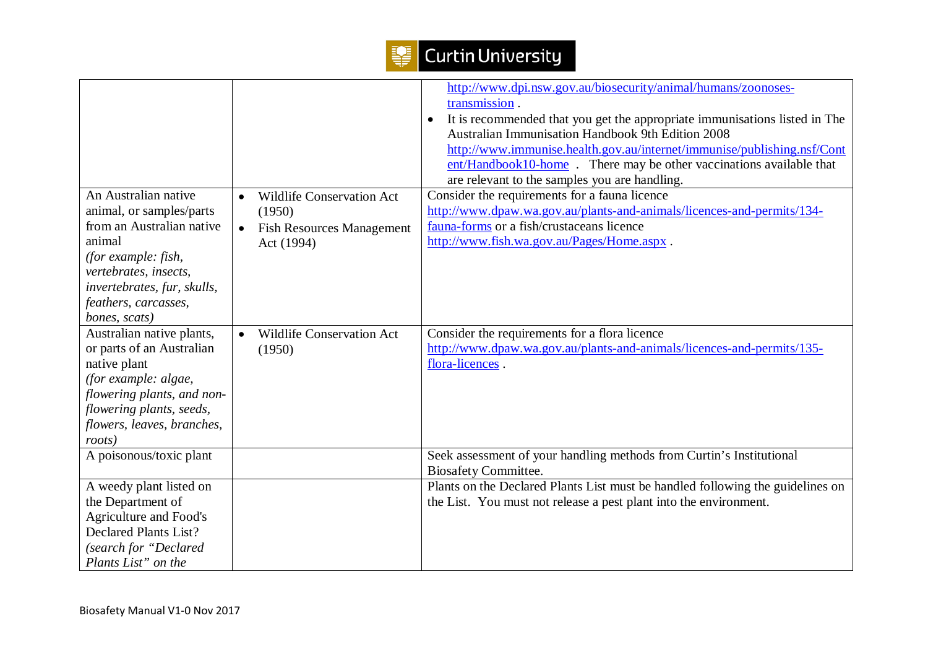| An Australian native<br>animal, or samples/parts<br>from an Australian native<br>animal<br>(for example: fish,<br>vertebrates, insects,<br>invertebrates, fur, skulls,                           | <b>Wildlife Conservation Act</b><br>$\bullet$<br>(1950)<br><b>Fish Resources Management</b><br>Act (1994) | http://www.dpi.nsw.gov.au/biosecurity/animal/humans/zoonoses-<br>transmission.<br>It is recommended that you get the appropriate immunisations listed in The<br>$\bullet$<br><b>Australian Immunisation Handbook 9th Edition 2008</b><br>http://www.immunise.health.gov.au/internet/immunise/publishing.nsf/Cont<br>ent/Handbook10-home. There may be other vaccinations available that<br>are relevant to the samples you are handling.<br>Consider the requirements for a fauna licence<br>http://www.dpaw.wa.gov.au/plants-and-animals/licences-and-permits/134-<br>fauna-forms or a fish/crustaceans licence<br>http://www.fish.wa.gov.au/Pages/Home.aspx. |
|--------------------------------------------------------------------------------------------------------------------------------------------------------------------------------------------------|-----------------------------------------------------------------------------------------------------------|----------------------------------------------------------------------------------------------------------------------------------------------------------------------------------------------------------------------------------------------------------------------------------------------------------------------------------------------------------------------------------------------------------------------------------------------------------------------------------------------------------------------------------------------------------------------------------------------------------------------------------------------------------------|
| feathers, carcasses,<br>bones, scats)                                                                                                                                                            |                                                                                                           |                                                                                                                                                                                                                                                                                                                                                                                                                                                                                                                                                                                                                                                                |
| Australian native plants,<br>or parts of an Australian<br>native plant<br>(for example: algae,<br>flowering plants, and non-<br>flowering plants, seeds,<br>flowers, leaves, branches,<br>roots) | <b>Wildlife Conservation Act</b><br>(1950)                                                                | Consider the requirements for a flora licence<br>http://www.dpaw.wa.gov.au/plants-and-animals/licences-and-permits/135-<br>flora-licences.                                                                                                                                                                                                                                                                                                                                                                                                                                                                                                                     |
| A poisonous/toxic plant                                                                                                                                                                          |                                                                                                           | Seek assessment of your handling methods from Curtin's Institutional<br><b>Biosafety Committee.</b>                                                                                                                                                                                                                                                                                                                                                                                                                                                                                                                                                            |
| A weedy plant listed on<br>the Department of<br><b>Agriculture and Food's</b><br><b>Declared Plants List?</b><br>(search for "Declared<br>Plants List" on the                                    |                                                                                                           | Plants on the Declared Plants List must be handled following the guidelines on<br>the List. You must not release a pest plant into the environment.                                                                                                                                                                                                                                                                                                                                                                                                                                                                                                            |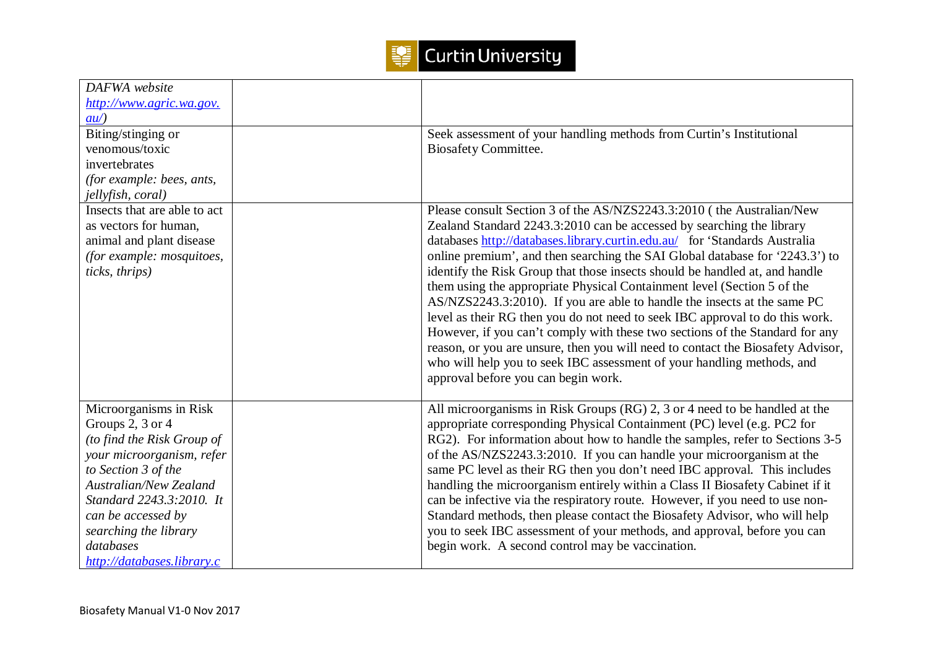

| DAFWA website                 |                                                                                 |
|-------------------------------|---------------------------------------------------------------------------------|
| http://www.agric.wa.gov.      |                                                                                 |
| $\frac{au}{ }$                |                                                                                 |
| Biting/stinging or            | Seek assessment of your handling methods from Curtin's Institutional            |
| venomous/toxic                | <b>Biosafety Committee.</b>                                                     |
| invertebrates                 |                                                                                 |
| (for example: bees, ants,     |                                                                                 |
| jellyfish, coral)             |                                                                                 |
| Insects that are able to act  | Please consult Section 3 of the AS/NZS2243.3:2010 (the Australian/New           |
| as vectors for human,         | Zealand Standard 2243.3:2010 can be accessed by searching the library           |
| animal and plant disease      | databases http://databases.library.curtin.edu.au/ for 'Standards Australia      |
| (for example: mosquitoes,     | online premium', and then searching the SAI Global database for '2243.3') to    |
| ticks, thrips)                | identify the Risk Group that those insects should be handled at, and handle     |
|                               | them using the appropriate Physical Containment level (Section 5 of the         |
|                               | AS/NZS2243.3:2010). If you are able to handle the insects at the same PC        |
|                               | level as their RG then you do not need to seek IBC approval to do this work.    |
|                               | However, if you can't comply with these two sections of the Standard for any    |
|                               | reason, or you are unsure, then you will need to contact the Biosafety Advisor, |
|                               | who will help you to seek IBC assessment of your handling methods, and          |
|                               | approval before you can begin work.                                             |
|                               |                                                                                 |
| Microorganisms in Risk        | All microorganisms in Risk Groups (RG) 2, 3 or 4 need to be handled at the      |
| Groups 2, 3 or 4              | appropriate corresponding Physical Containment (PC) level (e.g. PC2 for         |
| (to find the Risk Group of    | RG2). For information about how to handle the samples, refer to Sections 3-5    |
| your microorganism, refer     | of the AS/NZS2243.3:2010. If you can handle your microorganism at the           |
| to Section 3 of the           | same PC level as their RG then you don't need IBC approval. This includes       |
| <b>Australian/New Zealand</b> | handling the microorganism entirely within a Class II Biosafety Cabinet if it   |
| Standard 2243.3:2010. It      | can be infective via the respiratory route. However, if you need to use non-    |
| can be accessed by            | Standard methods, then please contact the Biosafety Advisor, who will help      |
| searching the library         | you to seek IBC assessment of your methods, and approval, before you can        |
| databases                     | begin work. A second control may be vaccination.                                |
| http://databases.library.c    |                                                                                 |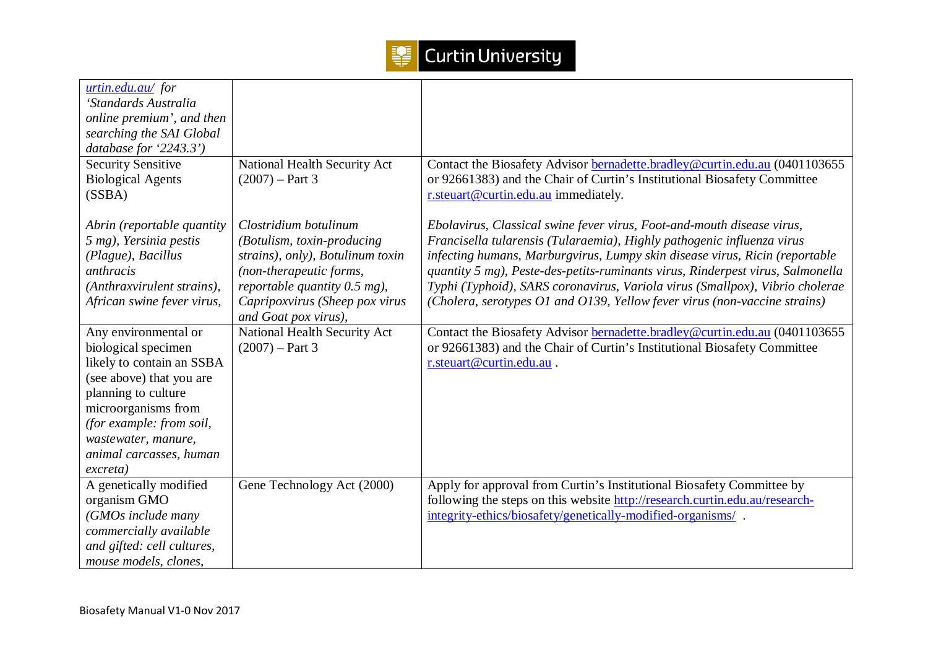

| urtin.edu.au/for<br>'Standards Australia |                                  |                                                                                |
|------------------------------------------|----------------------------------|--------------------------------------------------------------------------------|
| online premium', and then                |                                  |                                                                                |
| searching the SAI Global                 |                                  |                                                                                |
| database for '2243.3')                   |                                  |                                                                                |
| <b>Security Sensitive</b>                | National Health Security Act     | Contact the Biosafety Advisor bernadette.bradley@curtin.edu.au (0401103655     |
| <b>Biological Agents</b>                 | $(2007) - Part 3$                | or 92661383) and the Chair of Curtin's Institutional Biosafety Committee       |
| (SSBA)                                   |                                  | r.steuart@curtin.edu.au immediately.                                           |
|                                          |                                  |                                                                                |
| Abrin (reportable quantity               | Clostridium botulinum            | Ebolavirus, Classical swine fever virus, Foot-and-mouth disease virus,         |
| 5 mg), Yersinia pestis                   | (Botulism, toxin-producing       | Francisella tularensis (Tularaemia), Highly pathogenic influenza virus         |
| (Plague), Bacillus                       | strains), only), Botulinum toxin | infecting humans, Marburgvirus, Lumpy skin disease virus, Ricin (reportable    |
| anthracis                                | (non-therapeutic forms,          | quantity 5 mg), Peste-des-petits-ruminants virus, Rinderpest virus, Salmonella |
| (Anthraxvirulent strains),               | reportable quantity $0.5$ mg),   | Typhi (Typhoid), SARS coronavirus, Variola virus (Smallpox), Vibrio cholerae   |
| African swine fever virus,               | Capripoxvirus (Sheep pox virus   | (Cholera, serotypes O1 and O139, Yellow fever virus (non-vaccine strains)      |
|                                          | and Goat pox virus),             |                                                                                |
| Any environmental or                     | National Health Security Act     | Contact the Biosafety Advisor bernadette.bradley@curtin.edu.au (0401103655     |
| biological specimen                      | $(2007) - Part 3$                | or 92661383) and the Chair of Curtin's Institutional Biosafety Committee       |
| likely to contain an SSBA                |                                  | r.steuart@curtin.edu.au.                                                       |
| (see above) that you are                 |                                  |                                                                                |
| planning to culture                      |                                  |                                                                                |
| microorganisms from                      |                                  |                                                                                |
| (for example: from soil,                 |                                  |                                                                                |
| wastewater, manure,                      |                                  |                                                                                |
| animal carcasses, human<br>excreta)      |                                  |                                                                                |
| A genetically modified                   | Gene Technology Act (2000)       | Apply for approval from Curtin's Institutional Biosafety Committee by          |
| organism GMO                             |                                  | following the steps on this website http://research.curtin.edu.au/research-    |
| (GMOs include many                       |                                  | integrity-ethics/biosafety/genetically-modified-organisms/.                    |
| commercially available                   |                                  |                                                                                |
| and gifted: cell cultures,               |                                  |                                                                                |
| mouse models, clones,                    |                                  |                                                                                |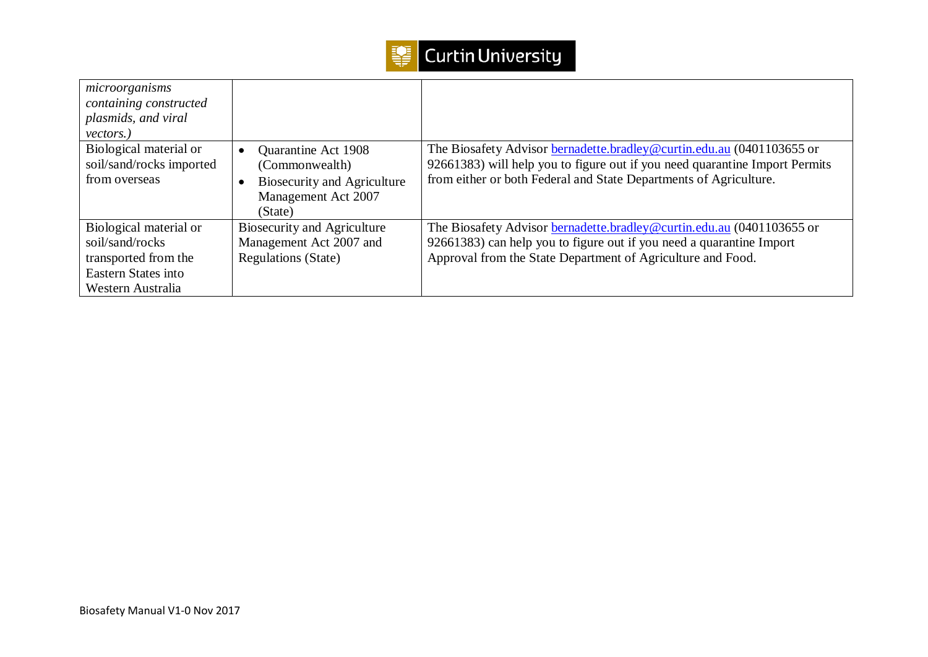

| microorganisms<br>containing constructed<br>plasmids, and viral<br>vectors.)                                  |                                                                                                               |                                                                                                                                                                                                                           |
|---------------------------------------------------------------------------------------------------------------|---------------------------------------------------------------------------------------------------------------|---------------------------------------------------------------------------------------------------------------------------------------------------------------------------------------------------------------------------|
| Biological material or<br>soil/sand/rocks imported<br>from overseas                                           | Quarantine Act 1908<br>(Commonwealth)<br><b>Biosecurity and Agriculture</b><br>Management Act 2007<br>(State) | The Biosafety Advisor bernadette.bradley@curtin.edu.au (0401103655 or<br>92661383) will help you to figure out if you need quarantine Import Permits<br>from either or both Federal and State Departments of Agriculture. |
| Biological material or<br>soil/sand/rocks<br>transported from the<br>Eastern States into<br>Western Australia | <b>Biosecurity and Agriculture</b><br>Management Act 2007 and<br><b>Regulations (State)</b>                   | The Biosafety Advisor bernadette.bradley@curtin.edu.au (0401103655 or<br>92661383) can help you to figure out if you need a quarantine Import<br>Approval from the State Department of Agriculture and Food.              |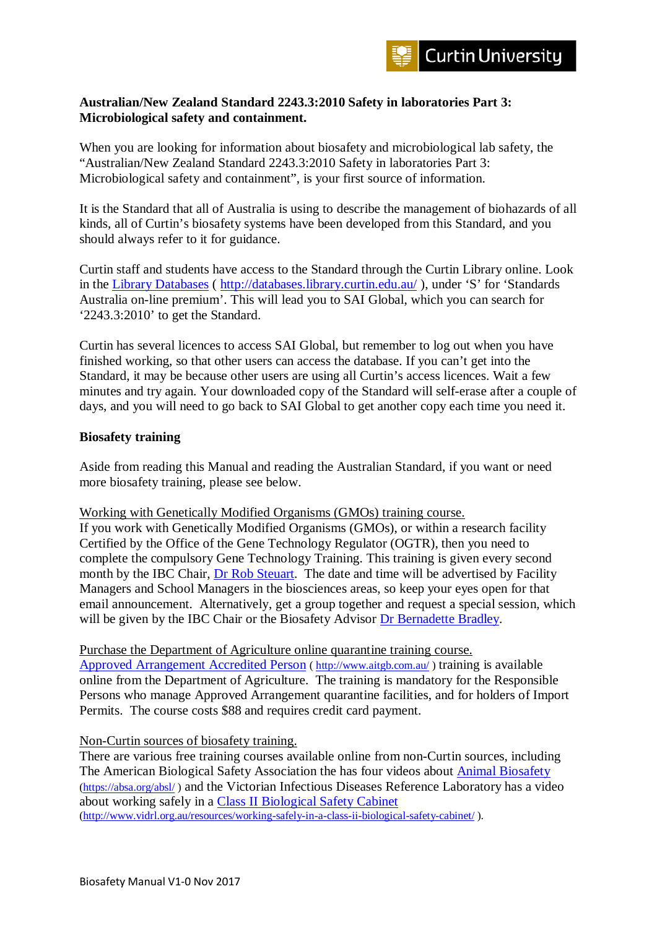## **Australian/New Zealand Standard 2243.3:2010 Safety in laboratories Part 3: Microbiological safety and containment.**

When you are looking for information about biosafety and microbiological lab safety, the "Australian/New Zealand Standard 2243.3:2010 Safety in laboratories Part 3: Microbiological safety and containment", is your first source of information.

It is the Standard that all of Australia is using to describe the management of biohazards of all kinds, all of Curtin's biosafety systems have been developed from this Standard, and you should always refer to it for guidance.

Curtin staff and students have access to the Standard through the Curtin Library online. Look in the [Library Databases](http://databases.library.curtin.edu.au/) (<http://databases.library.curtin.edu.au/> ), under 'S' for 'Standards Australia on-line premium'. This will lead you to SAI Global, which you can search for '2243.3:2010' to get the Standard.

Curtin has several licences to access SAI Global, but remember to log out when you have finished working, so that other users can access the database. If you can't get into the Standard, it may be because other users are using all Curtin's access licences. Wait a few minutes and try again. Your downloaded copy of the Standard will self-erase after a couple of days, and you will need to go back to SAI Global to get another copy each time you need it.

## **Biosafety training**

Aside from reading this Manual and reading the Australian Standard, if you want or need more biosafety training, please see below.

Working with Genetically Modified Organisms (GMOs) training course.

If you work with Genetically Modified Organisms (GMOs), or within a research facility Certified by the Office of the Gene Technology Regulator (OGTR), then you need to complete the compulsory Gene Technology Training. This training is given every second month by the IBC Chair, [Dr Rob Steuart.](http://oasisapps.curtin.edu.au/staff/profile/view/R.Steuart) The date and time will be advertised by Facility Managers and School Managers in the biosciences areas, so keep your eyes open for that email announcement. Alternatively, get a group together and request a special session, which will be given by the IBC Chair or the Biosafety Advisor [Dr Bernadette Bradley.](mailto:bernadette.bradley@curtin.edu.au)

## Purchase the Department of Agriculture online quarantine training course.

[Approved Arrangement](http://www.aitgb.com.au/) Accredited Person (<http://www.aitgb.com.au/> ) training is available online from the Department of Agriculture. The training is mandatory for the Responsible Persons who manage Approved Arrangement quarantine facilities, and for holders of Import Permits. The course costs \$88 and requires credit card payment.

## Non-Curtin sources of biosafety training.

There are various free training courses available online from non-Curtin sources, including The American Biological Safety Association the has four videos about [Animal Biosafety](http://www.absa.org/resanimal.html) [\(https://absa.org/absl/](https://absa.org/absl/) ) and the Victorian Infectious Diseases Reference Laboratory has a video about working safely in a [Class II Biological Safety Cabinet](http://www.vidrl.org.au/resources/working-safely-in-a-class-ii-biological-safety-cabinet/) [\(http://www.vidrl.org.au/resources/working-safely-in-a-class-ii-biological-safety-cabinet/](http://www.vidrl.org.au/resources/working-safely-in-a-class-ii-biological-safety-cabinet/) ).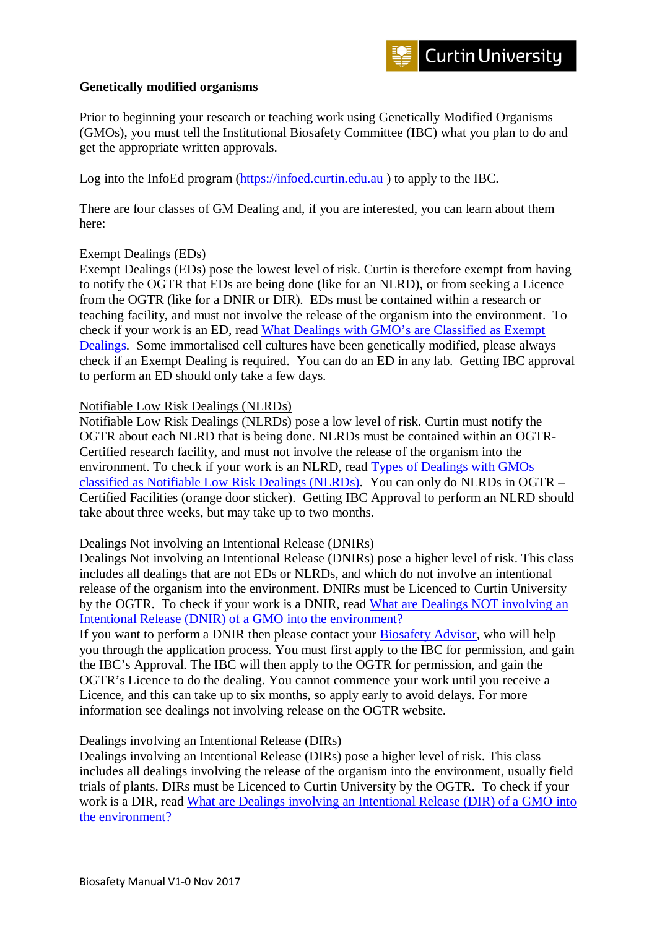## **Genetically modified organisms**

Prior to beginning your research or teaching work using Genetically Modified Organisms (GMOs), you must tell the Institutional Biosafety Committee (IBC) what you plan to do and get the appropriate written approvals.

Log into the InfoEd program [\(https://infoed.curtin.edu.au](https://infoed.curtin.edu.au/) ) to apply to the IBC.

There are four classes of GM Dealing and, if you are interested, you can learn about them here:

## Exempt Dealings (EDs)

Exempt Dealings (EDs) pose the lowest level of risk. Curtin is therefore exempt from having to notify the OGTR that EDs are being done (like for an NLRD), or from seeking a Licence from the OGTR (like for a DNIR or DIR). EDs must be contained within a research or teaching facility, and must not involve the release of the organism into the environment. To check if your work is an ED, read [What Dealings with GMO's are Classified as Exempt](http://www.ogtr.gov.au/internet/ogtr/publishing.nsf/Content/regsamend2011-3/$FILE/exemptdealings-1sept2011.pdf)  [Dealings.](http://www.ogtr.gov.au/internet/ogtr/publishing.nsf/Content/regsamend2011-3/$FILE/exemptdealings-1sept2011.pdf) Some immortalised cell cultures have been genetically modified, please always check if an Exempt Dealing is required. You can do an ED in any lab. Getting IBC approval to perform an ED should only take a few days.

## Notifiable Low Risk Dealings (NLRDs)

Notifiable Low Risk Dealings (NLRDs) pose a low level of risk. Curtin must notify the OGTR about each NLRD that is being done. NLRDs must be contained within an OGTR-Certified research facility, and must not involve the release of the organism into the environment. To check if your work is an NLRD, read [Types of Dealings with GMOs](http://www.ogtr.gov.au/internet/ogtr/publishing.nsf/Content/nlrdeal-3/$FILE/NLRDs1Sept2011excerpt.pdf)  [classified as Notifiable Low Risk Dealings \(NLRDs\).](http://www.ogtr.gov.au/internet/ogtr/publishing.nsf/Content/nlrdeal-3/$FILE/NLRDs1Sept2011excerpt.pdf) You can only do NLRDs in OGTR – Certified Facilities (orange door sticker). Getting IBC Approval to perform an NLRD should take about three weeks, but may take up to two months.

## Dealings Not involving an Intentional Release (DNIRs)

Dealings Not involving an Intentional Release (DNIRs) pose a higher level of risk. This class includes all dealings that are not EDs or NLRDs, and which do not involve an intentional release of the organism into the environment. DNIRs must be Licenced to Curtin University by the OGTR. To check if your work is a DNIR, read [What are Dealings NOT involving an](http://www.ogtr.gov.au/internet/ogtr/publishing.nsf/Content/dnirclass-2)  [Intentional Release \(DNIR\) of a GMO into the environment?](http://www.ogtr.gov.au/internet/ogtr/publishing.nsf/Content/dnirclass-2)

If you want to perform a DNIR then please contact your [Biosafety Advisor,](mailto:bernadette.bradley@curtin.edu.au) who will help you through the application process. You must first apply to the IBC for permission, and gain the IBC's Approval. The IBC will then apply to the OGTR for permission, and gain the OGTR's Licence to do the dealing. You cannot commence your work until you receive a Licence, and this can take up to six months, so apply early to avoid delays. For more information see dealings not involving release on the OGTR website.

## Dealings involving an Intentional Release (DIRs)

Dealings involving an Intentional Release (DIRs) pose a higher level of risk. This class includes all dealings involving the release of the organism into the environment, usually field trials of plants. DIRs must be Licenced to Curtin University by the OGTR. To check if your work is a DIR, read [What are Dealings involving an Intentional Release \(DIR\) of a GMO into](http://www.ogtr.gov.au/internet/ogtr/publishing.nsf/Content/dirclass-2)  [the environment?](http://www.ogtr.gov.au/internet/ogtr/publishing.nsf/Content/dirclass-2)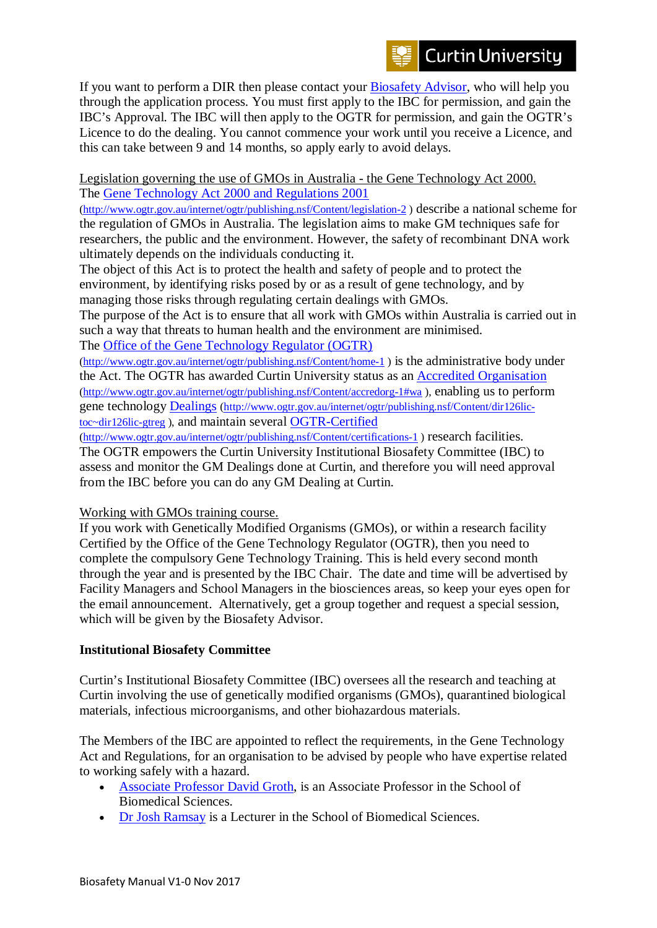If you want to perform a DIR then please contact your [Biosafety Advisor,](mailto:bernadette.bradley@curtin.edu.au) who will help you through the application process. You must first apply to the IBC for permission, and gain the IBC's Approval. The IBC will then apply to the OGTR for permission, and gain the OGTR's Licence to do the dealing. You cannot commence your work until you receive a Licence, and this can take between 9 and 14 months, so apply early to avoid delays.

Legislation governing the use of GMOs in Australia - the Gene Technology Act 2000. The [Gene Technology Act 2000 and Regulations 2001](http://www.ogtr.gov.au/internet/ogtr/publishing.nsf/Content/legislation-2)

[\(http://www.ogtr.gov.au/internet/ogtr/publishing.nsf/Content/legislation-2](http://www.ogtr.gov.au/internet/ogtr/publishing.nsf/Content/legislation-2) ) describe a national scheme for the regulation of GMOs in Australia. The legislation aims to make GM techniques safe for researchers, the public and the environment. However, the safety of recombinant DNA work ultimately depends on the individuals conducting it.

The object of this Act is to protect the health and safety of people and to protect the environment, by identifying risks posed by or as a result of gene technology, and by managing those risks through regulating certain dealings with GMOs.

The purpose of the Act is to ensure that all work with GMOs within Australia is carried out in such a way that threats to human health and the environment are minimised. The [Office of the Gene Technology Regulator \(OGTR\)](http://www.ogtr.gov.au/internet/ogtr/publishing.nsf/Content/home-1)

[\(http://www.ogtr.gov.au/internet/ogtr/publishing.nsf/Content/home-1](http://www.ogtr.gov.au/internet/ogtr/publishing.nsf/Content/home-1) ) is the administrative body under the Act. The OGTR has awarded Curtin University status as an [Accredited Organisation](http://www.ogtr.gov.au/internet/ogtr/publishing.nsf/Content/accredorg-1#wa) [\(http://www.ogtr.gov.au/internet/ogtr/publishing.nsf/Content/accredorg-1#wa](http://www.ogtr.gov.au/internet/ogtr/publishing.nsf/Content/accredorg-1#wa) ), enabling us to perform gene technology [Dealings](http://www.ogtr.gov.au/internet/ogtr/publishing.nsf/Content/dir126lic-toc%7Edir126lic-gtreg) [\(http://www.ogtr.gov.au/internet/ogtr/publishing.nsf/Content/dir126lic](http://www.ogtr.gov.au/internet/ogtr/publishing.nsf/Content/dir126lic-toc%7Edir126lic-gtreg)[toc~dir126lic-gtreg](http://www.ogtr.gov.au/internet/ogtr/publishing.nsf/Content/dir126lic-toc%7Edir126lic-gtreg) ), and maintain several [OGTR-Certified](http://www.ogtr.gov.au/internet/ogtr/publishing.nsf/Content/certifications-1)

[\(http://www.ogtr.gov.au/internet/ogtr/publishing.nsf/Content/certifications-1](http://www.ogtr.gov.au/internet/ogtr/publishing.nsf/Content/certifications-1) ) research facilities.

The OGTR empowers the Curtin University Institutional Biosafety Committee (IBC) to assess and monitor the GM Dealings done at Curtin, and therefore you will need approval from the IBC before you can do any GM Dealing at Curtin.

Working with GMOs training course.

If you work with Genetically Modified Organisms (GMOs), or within a research facility Certified by the Office of the Gene Technology Regulator (OGTR), then you need to complete the compulsory Gene Technology Training. This is held every second month through the year and is presented by the IBC Chair. The date and time will be advertised by Facility Managers and School Managers in the biosciences areas, so keep your eyes open for the email announcement. Alternatively, get a group together and request a special session, which will be given by the Biosafety Advisor.

## **Institutional Biosafety Committee**

Curtin's Institutional Biosafety Committee (IBC) oversees all the research and teaching at Curtin involving the use of genetically modified organisms (GMOs), quarantined biological materials, infectious microorganisms, and other biohazardous materials.

The Members of the IBC are appointed to reflect the requirements, in the Gene Technology Act and Regulations, for an organisation to be advised by people who have expertise related to working safely with a hazard.

- [Associate Professor David Groth,](http://oasisapps.curtin.edu.au/staff/profile/view/D.Groth) is an Associate Professor in the School of Biomedical Sciences.
- [Dr Josh Ramsay](http://oasisapps.curtin.edu.au/staff/profile/view/Josh.Ramsay) is a Lecturer in the School of Biomedical Sciences.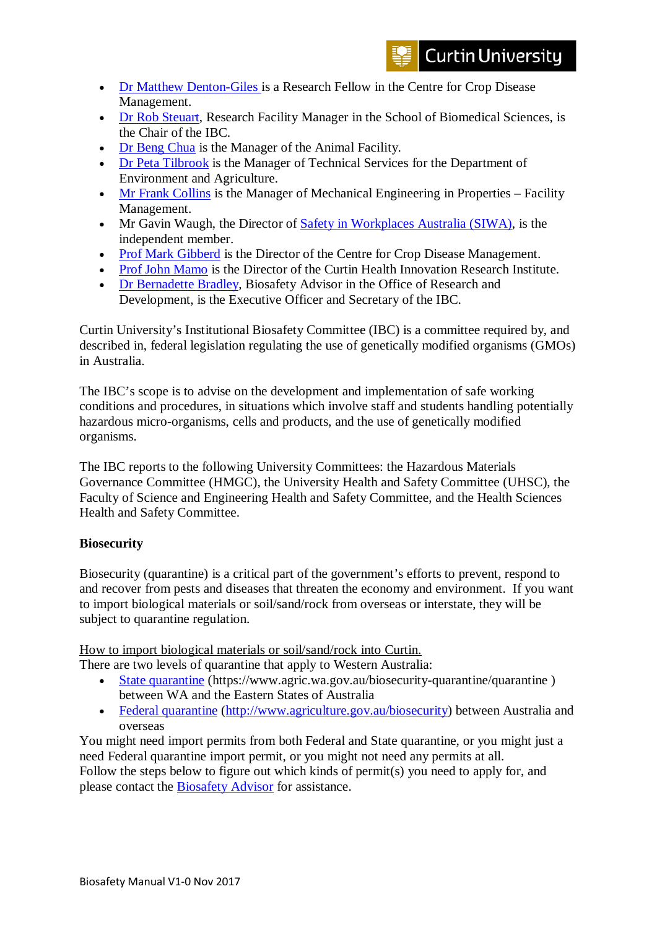- Dr [Matthew Denton-Giles i](http://oasisapps.curtin.edu.au/staff/profile/view/Matthew.Denton-Giles)s a Research Fellow in the Centre for Crop Disease Management.
- [Dr Rob Steuart,](http://oasisapps.curtin.edu.au/staff/profile/view/R.Steuart) Research Facility Manager in the School of Biomedical Sciences, is the Chair of the IBC.
- [Dr Beng Chua](http://oasisapps.curtin.edu.au/staff/profile/view/B.Chua) is the Manager of the Animal Facility.
- [Dr Peta Tilbrook](http://oasisapps.curtin.edu.au/staff/profile/view/Peta.Tilbrook) is the Manager of Technical Services for the Department of Environment and Agriculture.
- [Mr Frank Collins](http://oasisapps.curtin.edu.au/staff/profile/view/F.Collins) is the Manager of Mechanical Engineering in Properties Facility Management.
- Mr Gavin Waugh, the Director of [Safety in Workplaces Australia \(SIWA\),](http://www.siwa.org.au/) is the independent member.
- [Prof Mark Gibberd](http://oasisapps.curtin.edu.au/staff/profile/view/M.Gibberd) is the Director of the Centre for Crop Disease Management.
- [Prof John Mamo](http://oasisapps.curtin.edu.au/staff/profile/view/J.Mamo) is the Director of the Curtin Health Innovation Research Institute.
- [Dr Bernadette Bradley,](http://oasisapps.curtin.edu.au/staff/profile/view/Bernadette.Bradley) Biosafety Advisor in the Office of Research and Development, is the Executive Officer and Secretary of the IBC.

Curtin University's Institutional Biosafety Committee (IBC) is a committee required by, and described in, federal legislation regulating the use of genetically modified organisms (GMOs) in Australia.

The IBC's scope is to advise on the development and implementation of safe working conditions and procedures, in situations which involve staff and students handling potentially hazardous micro-organisms, cells and products, and the use of genetically modified organisms.

The IBC reports to the following University Committees: the Hazardous Materials Governance Committee (HMGC), the University Health and Safety Committee (UHSC), the Faculty of Science and Engineering Health and Safety Committee, and the Health Sciences Health and Safety Committee.

## **Biosecurity**

Biosecurity (quarantine) is a critical part of the government's efforts to prevent, respond to and recover from pests and diseases that threaten the economy and environment. If you want to import biological materials or soil/sand/rock from overseas or interstate, they will be subject to quarantine regulation.

How to import biological materials or soil/sand/rock into Curtin.

There are two levels of quarantine that apply to Western Australia:

- [State quarantine](https://www.agric.wa.gov.au/biosecurity-quarantine/quarantine) (https://www.agric.wa.gov.au/biosecurity-quarantine/quarantine ) between WA and the Eastern States of Australia
- [Federal quarantine](http://www.agriculture.gov.au/biosecurity) [\(http://www.agriculture.gov.au/biosecurity\)](http://www.agriculture.gov.au/biosecurity) between Australia and overseas

You might need import permits from both Federal and State quarantine, or you might just a need Federal quarantine import permit, or you might not need any permits at all.

Follow the steps below to figure out which kinds of permit(s) you need to apply for, and please contact the **Biosafety Advisor** for assistance.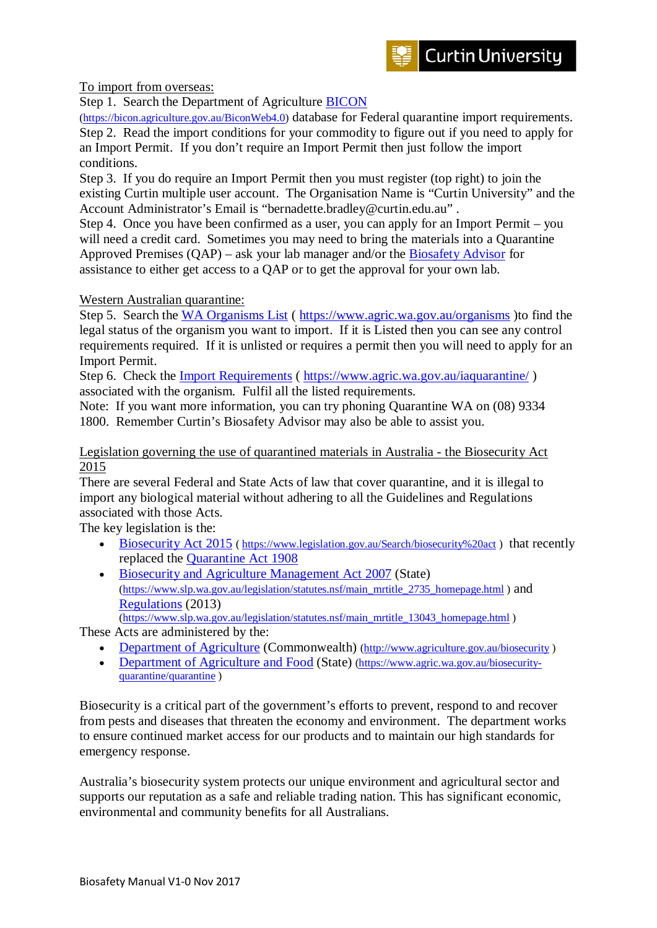To import from overseas:

Step 1. Search the Department of Agriculture **BICON** 

[\(https://bicon.agriculture.gov.au/BiconWeb4.0\)](https://bicon.agriculture.gov.au/BiconWeb4.0) database for Federal quarantine import requirements. Step 2. Read the import conditions for your commodity to figure out if you need to apply for an Import Permit. If you don't require an Import Permit then just follow the import conditions.

Step 3. If you do require an Import Permit then you must register (top right) to join the existing Curtin multiple user account. The Organisation Name is "Curtin University" and the Account Administrator's Email is "bernadette.bradley@curtin.edu.au" .

Step 4. Once you have been confirmed as a user, you can apply for an Import Permit – you will need a credit card. Sometimes you may need to bring the materials into a Quarantine Approved Premises  $(QAP)$  – ask your lab manager and/or the **Biosafety Advisor** for assistance to either get access to a QAP or to get the approval for your own lab.

## Western Australian quarantine:

Step 5. Search the [WA Organisms List](https://www.agric.wa.gov.au/organisms) (<https://www.agric.wa.gov.au/organisms> )to find the legal status of the organism you want to import. If it is Listed then you can see any control requirements required. If it is unlisted or requires a permit then you will need to apply for an Import Permit.

Step 6. Check the [Import Requirements](https://www.agric.wa.gov.au/iaquarantine/) (<https://www.agric.wa.gov.au/iaquarantine/> ) associated with the organism. Fulfil all the listed requirements.

Note: If you want more information, you can try phoning Quarantine WA on (08) 9334 1800. Remember Curtin's Biosafety Advisor may also be able to assist you.

#### Legislation governing the use of quarantined materials in Australia - the Biosecurity Act 2015

There are several Federal and State Acts of law that cover quarantine, and it is illegal to import any biological material without adhering to all the Guidelines and Regulations associated with those Acts.

The key legislation is the:

- [Biosecurity Act 2015](https://www.comlaw.gov.au/Search/biosecurity%20act) (https://www.legislation.gov.au/Search/biosecurity%20act) that recently replaced the [Quarantine Act 1908](https://www.comlaw.gov.au/Series/C1908A00003)
- [Biosecurity and Agriculture Management Act 2007](http://www.slp.wa.gov.au/legislation/statutes.nsf/main_mrtitle_2735_homepage.html) (State) [\(https://www.slp.wa.gov.au/legislation/statutes.nsf/main\\_mrtitle\\_2735\\_homepage.html](https://www.slp.wa.gov.au/legislation/statutes.nsf/main_mrtitle_2735_homepage.html) ) and [Regulations](http://www.slp.wa.gov.au/legislation/statutes.nsf/main_mrtitle_13043_homepage.html) (2013) [\(https://www.slp.wa.gov.au/legislation/statutes.nsf/main\\_mrtitle\\_13043\\_homepage.html](https://www.slp.wa.gov.au/legislation/statutes.nsf/main_mrtitle_13043_homepage.html) )

These Acts are administered by the:

- [Department of Agriculture](http://www.agriculture.gov.au/biosecurity) (Commonwealth) [\(http://www.agriculture.gov.au/biosecurity](http://www.agriculture.gov.au/biosecurity))
- [Department of Agriculture and Food](https://www.agric.wa.gov.au/biosecurity-quarantine/quarantine) (State) [\(https://www.agric.wa.gov.au/biosecurity](https://www.agric.wa.gov.au/biosecurity-quarantine/quarantine)[quarantine/quarantine](https://www.agric.wa.gov.au/biosecurity-quarantine/quarantine) )

Biosecurity is a critical part of the government's efforts to prevent, respond to and recover from pests and diseases that threaten the economy and environment. The department works to ensure continued market access for our products and to maintain our high standards for emergency response.

Australia's biosecurity system protects our unique environment and agricultural sector and supports our reputation as a safe and reliable trading nation. This has significant economic, environmental and community benefits for all Australians.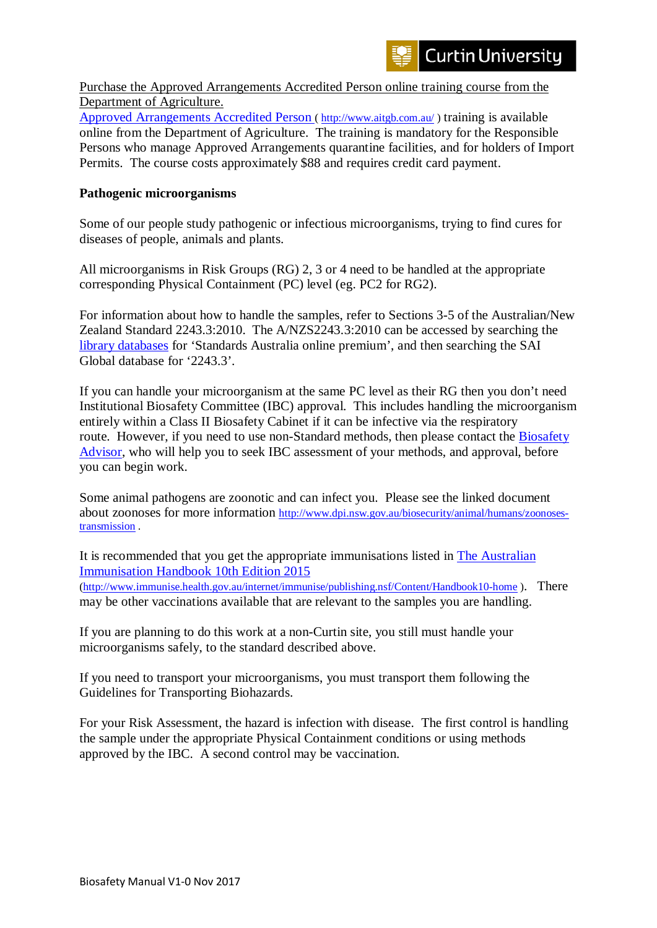Purchase the Approved Arrangements Accredited Person online training course from the Department of Agriculture.

[Approved Arrangements Accredited Person \( http://www.aitgb.com.au/](http://www.aitgb.com.au/) ) training is available online from the Department of Agriculture. The training is mandatory for the Responsible Persons who manage Approved Arrangements quarantine facilities, and for holders of Import Permits. The course costs approximately \$88 and requires credit card payment.

## **Pathogenic microorganisms**

Some of our people study pathogenic or infectious microorganisms, trying to find cures for diseases of people, animals and plants.

All microorganisms in Risk Groups (RG) 2, 3 or 4 need to be handled at the appropriate corresponding Physical Containment (PC) level (eg. PC2 for RG2).

For information about how to handle the samples, refer to Sections 3-5 of the Australian/New Zealand Standard 2243.3:2010. The A/NZS2243.3:2010 can be accessed by searching the [library databases](http://databases.library.curtin.edu.au/) for 'Standards Australia online premium', and then searching the SAI Global database for '2243.3'.

If you can handle your microorganism at the same PC level as their RG then you don't need Institutional Biosafety Committee (IBC) approval. This includes handling the microorganism entirely within a Class II Biosafety Cabinet if it can be infective via the respiratory route. However, if you need to use non-Standard methods, then please contact the **Biosafety** [Advisor,](http://oasisapps.curtin.edu.au/staff/profile/view/Bernadette.Bradley) who will help you to seek IBC assessment of your methods, and approval, before you can begin work.

Some animal pathogens are zoonotic and can infect you. Please see the linked document about zoonoses for more information [http://www.dpi.nsw.gov.au/biosecurity/animal/humans/zoonoses](http://www.dpi.nsw.gov.au/biosecurity/animal/humans/zoonoses-transmission)[transmission](http://www.dpi.nsw.gov.au/biosecurity/animal/humans/zoonoses-transmission) .

It is recommended that you get the appropriate immunisations listed in [The Australian](http://www.immunise.health.gov.au/internet/immunise/publishing.nsf/Content/Handbook10-home)  [Immunisation Handbook 10th Edition 2015](http://www.immunise.health.gov.au/internet/immunise/publishing.nsf/Content/Handbook10-home) 

[\(http://www.immunise.health.gov.au/internet/immunise/publishing.nsf/Content/Handbook10-home](http://www.immunise.health.gov.au/internet/immunise/publishing.nsf/Content/Handbook10-home) ). There may be other vaccinations available that are relevant to the samples you are handling.

If you are planning to do this work at a non-Curtin site, you still must handle your microorganisms safely, to the standard described above.

If you need to transport your microorganisms, you must transport them following the Guidelines for Transporting Biohazards.

For your Risk Assessment, the hazard is infection with disease. The first control is handling the sample under the appropriate Physical Containment conditions or using methods approved by the IBC. A second control may be vaccination.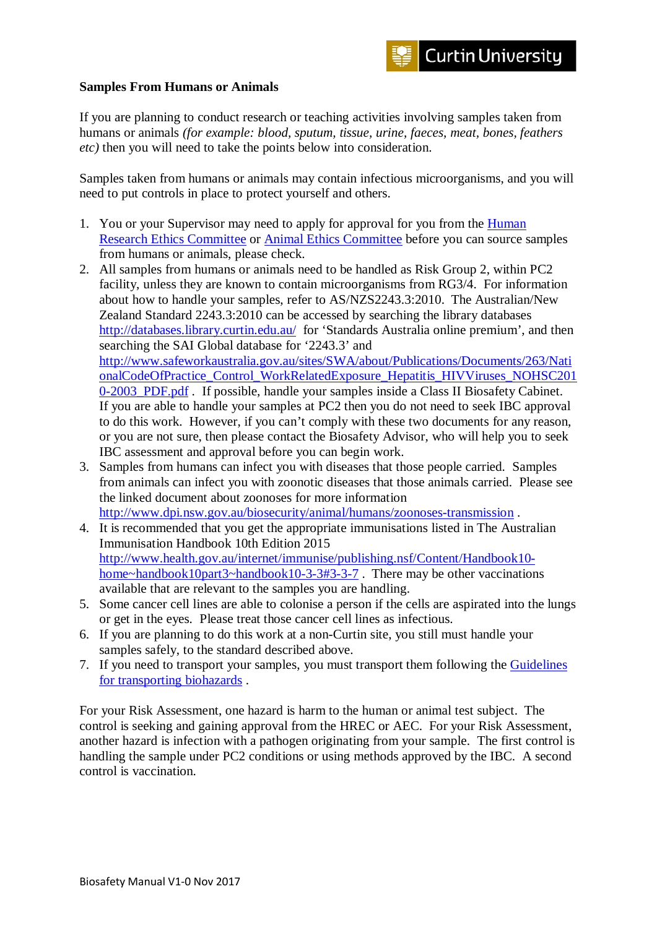## **Samples From Humans or Animals**

If you are planning to conduct research or teaching activities involving samples taken from humans or animals *(for example: blood, sputum, tissue, urine, faeces, meat, bones, feathers etc)* then you will need to take the points below into consideration.

Samples taken from humans or animals may contain infectious microorganisms, and you will need to put controls in place to protect yourself and others.

- 1. You or your Supervisor may need to apply for approval for you from the [Human](http://research.curtin.edu.au/research-integrity-ethics/human-research-ethics/)  [Research Ethics Committee](http://research.curtin.edu.au/research-integrity-ethics/human-research-ethics/) or [Animal Ethics Committee](http://research.curtin.edu.au/research-integrity-ethics/animal-research-ethics/) before you can source samples from humans or animals, please check.
- 2. All samples from humans or animals need to be handled as Risk Group 2, within PC2 facility, unless they are known to contain microorganisms from RG3/4. For information about how to handle your samples, refer to AS/NZS2243.3:2010. The Australian/New Zealand Standard 2243.3:2010 can be accessed by searching the library databases <http://databases.library.curtin.edu.au/> for 'Standards Australia online premium', and then searching the SAI Global database for '2243.3' and [http://www.safeworkaustralia.gov.au/sites/SWA/about/Publications/Documents/263/Nati](http://www.safeworkaustralia.gov.au/sites/SWA/about/Publications/Documents/263/NationalCodeOfPractice_Control_WorkRelatedExposure_Hepatitis_HIVViruses_NOHSC2010-2003_PDF.pdf) [onalCodeOfPractice\\_Control\\_WorkRelatedExposure\\_Hepatitis\\_HIVViruses\\_NOHSC201](http://www.safeworkaustralia.gov.au/sites/SWA/about/Publications/Documents/263/NationalCodeOfPractice_Control_WorkRelatedExposure_Hepatitis_HIVViruses_NOHSC2010-2003_PDF.pdf) [0-2003\\_PDF.pdf](http://www.safeworkaustralia.gov.au/sites/SWA/about/Publications/Documents/263/NationalCodeOfPractice_Control_WorkRelatedExposure_Hepatitis_HIVViruses_NOHSC2010-2003_PDF.pdf) . If possible, handle your samples inside a Class II Biosafety Cabinet. If you are able to handle your samples at PC2 then you do not need to seek IBC approval to do this work. However, if you can't comply with these two documents for any reason, or you are not sure, then please contact the Biosafety Advisor, who will help you to seek IBC assessment and approval before you can begin work.
- 3. Samples from humans can infect you with diseases that those people carried. Samples from animals can infect you with zoonotic diseases that those animals carried. Please see the linked document about zoonoses for more information <http://www.dpi.nsw.gov.au/biosecurity/animal/humans/zoonoses-transmission> .
- 4. It is recommended that you get the appropriate immunisations listed in The Australian Immunisation Handbook 10th Edition 2015 [http://www.health.gov.au/internet/immunise/publishing.nsf/Content/Handbook10](http://www.health.gov.au/internet/immunise/publishing.nsf/Content/Handbook10-home%7Ehandbook10part3%7Ehandbook10-3-3#3-3-7) [home~handbook10part3~handbook10-3-3#3-3-7](http://www.health.gov.au/internet/immunise/publishing.nsf/Content/Handbook10-home%7Ehandbook10part3%7Ehandbook10-3-3#3-3-7). There may be other vaccinations available that are relevant to the samples you are handling.
- 5. Some cancer cell lines are able to colonise a person if the cells are aspirated into the lungs or get in the eyes. Please treat those cancer cell lines as infectious.
- 6. If you are planning to do this work at a non-Curtin site, you still must handle your samples safely, to the standard described above.
- 7. If you need to transport your samples, you must transport them following the [Guidelines](http://research.curtin.edu.au/research-integrity-ethics/biosafety/transporting-biological-materials/)  [for transporting biohazards](http://research.curtin.edu.au/research-integrity-ethics/biosafety/transporting-biological-materials/) .

For your Risk Assessment, one hazard is harm to the human or animal test subject. The control is seeking and gaining approval from the HREC or AEC. For your Risk Assessment, another hazard is infection with a pathogen originating from your sample. The first control is handling the sample under PC2 conditions or using methods approved by the IBC. A second control is vaccination.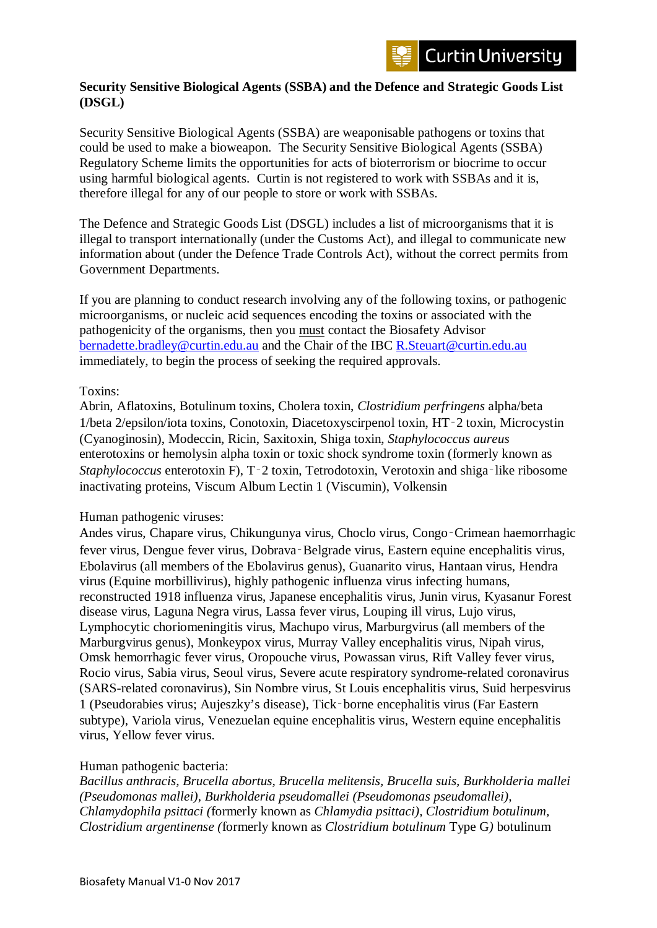## **Security Sensitive Biological Agents (SSBA) and the Defence and Strategic Goods List (DSGL)**

Security Sensitive Biological Agents (SSBA) are weaponisable pathogens or toxins that could be used to make a bioweapon. The Security Sensitive Biological Agents (SSBA) Regulatory Scheme limits the opportunities for acts of bioterrorism or biocrime to occur using harmful biological agents. Curtin is not registered to work with SSBAs and it is, therefore illegal for any of our people to store or work with SSBAs.

The Defence and Strategic Goods List (DSGL) includes a list of microorganisms that it is illegal to transport internationally (under the Customs Act), and illegal to communicate new information about (under the Defence Trade Controls Act), without the correct permits from Government Departments.

If you are planning to conduct research involving any of the following toxins, or pathogenic microorganisms, or nucleic acid sequences encoding the toxins or associated with the pathogenicity of the organisms, then you must contact the Biosafety Advisor [bernadette.bradley@curtin.edu.au](mailto:bernadette.bradley@curtin.edu.au) and the Chair of the IBC [R.Steuart@curtin.edu.au](mailto:R.Steuart@curtin.edu.au) immediately, to begin the process of seeking the required approvals.

## Toxins:

Abrin, Aflatoxins, Botulinum toxins, Cholera toxin, *Clostridium perfringens* alpha/beta 1/beta 2/epsilon/iota toxins, Conotoxin, Diacetoxyscirpenol toxin, HT‑2 toxin, Microcystin (Cyanoginosin), Modeccin, Ricin, Saxitoxin, Shiga toxin, *Staphylococcus aureus* enterotoxins or hemolysin alpha toxin or toxic shock syndrome toxin (formerly known as *Staphylococcus* enterotoxin F), T-2 toxin, Tetrodotoxin, Verotoxin and shiga-like ribosome inactivating proteins, Viscum Album Lectin 1 (Viscumin), Volkensin

## Human pathogenic viruses:

Andes virus, Chapare virus, Chikungunya virus, Choclo virus, Congo‑Crimean haemorrhagic fever virus, Dengue fever virus, Dobrava‑Belgrade virus, Eastern equine encephalitis virus, Ebolavirus (all members of the Ebolavirus genus), Guanarito virus, Hantaan virus, Hendra virus (Equine morbillivirus), highly pathogenic influenza virus infecting humans, reconstructed 1918 influenza virus, Japanese encephalitis virus, Junin virus, Kyasanur Forest disease virus, Laguna Negra virus, Lassa fever virus, Louping ill virus, Lujo virus, Lymphocytic choriomeningitis virus, Machupo virus, Marburgvirus (all members of the Marburgvirus genus), Monkeypox virus, Murray Valley encephalitis virus, Nipah virus, Omsk hemorrhagic fever virus, Oropouche virus, Powassan virus, Rift Valley fever virus, Rocio virus, Sabia virus, Seoul virus, Severe acute respiratory syndrome-related coronavirus (SARS-related coronavirus), Sin Nombre virus, St Louis encephalitis virus, Suid herpesvirus 1 (Pseudorabies virus; Aujeszky's disease), Tick‑borne encephalitis virus (Far Eastern subtype), Variola virus, Venezuelan equine encephalitis virus, Western equine encephalitis virus, Yellow fever virus.

## Human pathogenic bacteria:

*Bacillus anthracis, Brucella abortus, Brucella melitensis, Brucella suis, Burkholderia mallei (Pseudomonas mallei), Burkholderia pseudomallei (Pseudomonas pseudomallei), Chlamydophila psittaci (*formerly known as *Chlamydia psittaci), Clostridium botulinum, Clostridium argentinense (*formerly known as *Clostridium botulinum* Type G*)* botulinum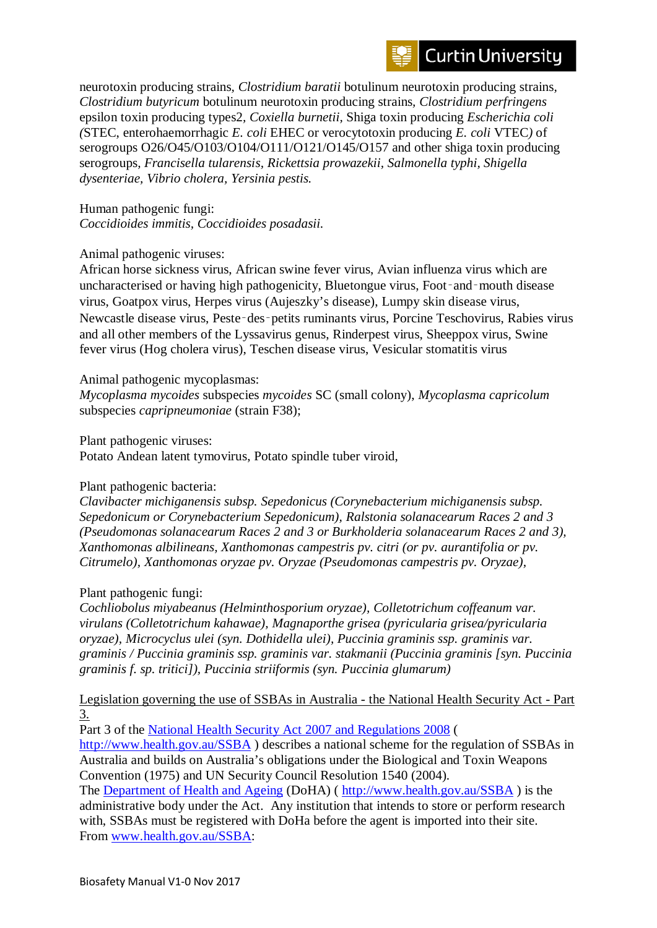

neurotoxin producing strains*, Clostridium baratii* botulinum neurotoxin producing strains*, Clostridium butyricum* botulinum neurotoxin producing strains*, Clostridium perfringens*  epsilon toxin producing types2*, Coxiella burnetii,* Shiga toxin producing *Escherichia coli (*STEC, enterohaemorrhagic *E. coli* EHEC or verocytotoxin producing *E. coli* VTEC*)* of serogroups O26/O45/O103/O104/O111/O121/O145/O157 and other shiga toxin producing serogroups*, Francisella tularensis, Rickettsia prowazekii, Salmonella typhi, Shigella dysenteriae, Vibrio cholera, Yersinia pestis.*

Human pathogenic fungi: *Coccidioides immitis, Coccidioides posadasii.*

## Animal pathogenic viruses:

African horse sickness virus, African swine fever virus, Avian influenza virus which are uncharacterised or having high pathogenicity, Bluetongue virus, Foot-and-mouth disease virus, Goatpox virus, Herpes virus (Aujeszky's disease), Lumpy skin disease virus, Newcastle disease virus, Peste‑des‑petits ruminants virus, Porcine Teschovirus, Rabies virus and all other members of the Lyssavirus genus, Rinderpest virus, Sheeppox virus, Swine fever virus (Hog cholera virus), Teschen disease virus, Vesicular stomatitis virus

## Animal pathogenic mycoplasmas:

*Mycoplasma mycoides* subspecies *mycoides* SC (small colony), *Mycoplasma capricolum* subspecies *capripneumoniae* (strain F38);

Plant pathogenic viruses:

Potato Andean latent tymovirus, Potato spindle tuber viroid,

## Plant pathogenic bacteria:

*Clavibacter michiganensis subsp. Sepedonicus (Corynebacterium michiganensis subsp. Sepedonicum or Corynebacterium Sepedonicum), Ralstonia solanacearum Races 2 and 3 (Pseudomonas solanacearum Races 2 and 3 or Burkholderia solanacearum Races 2 and 3), Xanthomonas albilineans, Xanthomonas campestris pv. citri (or pv. aurantifolia or pv. Citrumelo), Xanthomonas oryzae pv. Oryzae (Pseudomonas campestris pv. Oryzae),*

## Plant pathogenic fungi:

*Cochliobolus miyabeanus (Helminthosporium oryzae), Colletotrichum coffeanum var. virulans (Colletotrichum kahawae), Magnaporthe grisea (pyricularia grisea/pyricularia oryzae), Microcyclus ulei (syn. Dothidella ulei), Puccinia graminis ssp. graminis var. graminis / Puccinia graminis ssp. graminis var. stakmanii (Puccinia graminis [syn. Puccinia graminis f. sp. tritici]), Puccinia striiformis (syn. Puccinia glumarum)*

## Legislation governing the use of SSBAs in Australia - the National Health Security Act - Part 3.

Part 3 of the [National Health Security Act 2007 and Regulations 2008](http://www.health.gov.au/SSBA) (

<http://www.health.gov.au/SSBA> ) describes a national scheme for the regulation of SSBAs in Australia and builds on Australia's obligations under the Biological and Toxin Weapons Convention (1975) and UN Security Council Resolution 1540 (2004).

The [Department of Health and Ageing](http://www.health.gov.au/SSBA) (DoHA) (<http://www.health.gov.au/SSBA> ) is the administrative body under the Act. Any institution that intends to store or perform research with, SSBAs must be registered with DoHa before the agent is imported into their site. From [www.health.gov.au/SSBA:](http://www.health.gov.au/SSBA)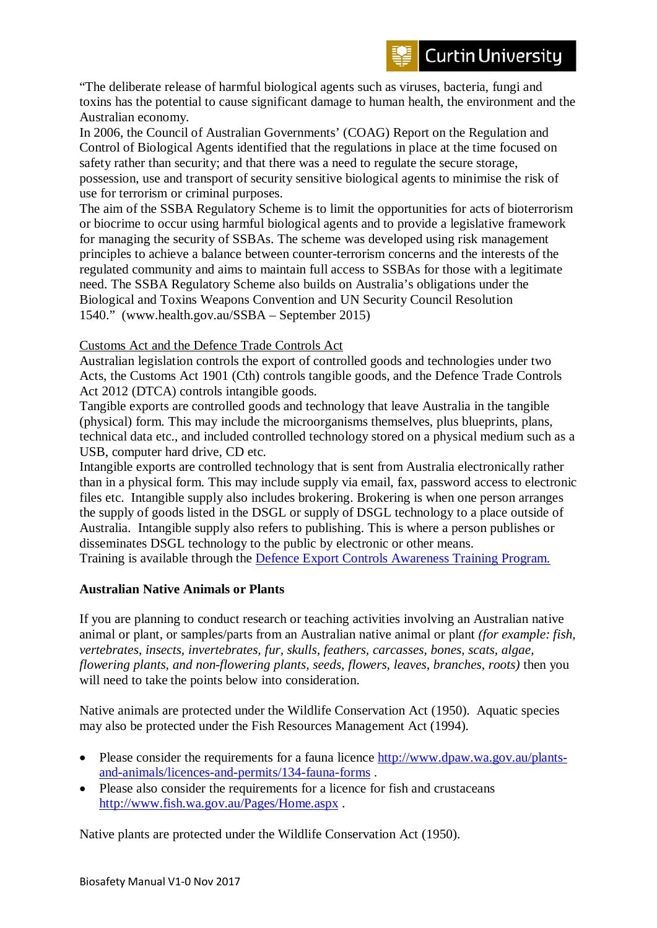"The deliberate release of harmful biological agents such as viruses, bacteria, fungi and toxins has the potential to cause significant damage to human health, the environment and the Australian economy.

In 2006, the Council of Australian Governments' (COAG) Report on the Regulation and Control of Biological Agents identified that the regulations in place at the time focused on safety rather than security; and that there was a need to regulate the secure storage, possession, use and transport of security sensitive biological agents to minimise the risk of use for terrorism or criminal purposes.

The aim of the SSBA Regulatory Scheme is to limit the opportunities for acts of bioterrorism or biocrime to occur using harmful biological agents and to provide a legislative framework for managing the security of SSBAs. The scheme was developed using risk management principles to achieve a balance between counter-terrorism concerns and the interests of the regulated community and aims to maintain full access to SSBAs for those with a legitimate need. The SSBA Regulatory Scheme also builds on Australia's obligations under the Biological and Toxins Weapons Convention and UN Security Council Resolution 1540." (www.health.gov.au/SSBA – September 2015)

## Customs Act and the Defence Trade Controls Act

Australian legislation controls the export of controlled goods and technologies under two Acts, the Customs Act 1901 (Cth) controls tangible goods, and the Defence Trade Controls Act 2012 (DTCA) controls intangible goods.

Tangible exports are controlled goods and technology that leave Australia in the tangible (physical) form. This may include the microorganisms themselves, plus blueprints, plans, technical data etc., and included controlled technology stored on a physical medium such as a USB, computer hard drive, CD etc.

Intangible exports are controlled technology that is sent from Australia electronically rather than in a physical form. This may include supply via email, fax, password access to electronic files etc. Intangible supply also includes brokering. Brokering is when one person arranges the supply of goods listed in the DSGL or supply of DSGL technology to a place outside of Australia. Intangible supply also refers to publishing. This is where a person publishes or disseminates DSGL technology to the public by electronic or other means.

Training is available through the [Defence Export Controls Awareness Training Program.](http://www.defence.gov.au/DECO/Training.asp)

## **Australian Native Animals or Plants**

If you are planning to conduct research or teaching activities involving an Australian native animal or plant, or samples/parts from an Australian native animal or plant *(for example: fish, vertebrates, insects, invertebrates, fur, skulls, feathers, carcasses, bones, scats, algae, flowering plants, and non-flowering plants, seeds, flowers, leaves, branches, roots)* then you will need to take the points below into consideration.

Native animals are protected under the Wildlife Conservation Act (1950). Aquatic species may also be protected under the Fish Resources Management Act (1994).

- Please consider the requirements for a fauna licence [http://www.dpaw.wa.gov.au/plants](http://www.dpaw.wa.gov.au/plants-and-animals/licences-and-permits/134-fauna-forms)[and-animals/licences-and-permits/134-fauna-forms](http://www.dpaw.wa.gov.au/plants-and-animals/licences-and-permits/134-fauna-forms) .
- Please also consider the requirements for a licence for fish and crustaceans <http://www.fish.wa.gov.au/Pages/Home.aspx> .

Native plants are protected under the Wildlife Conservation Act (1950).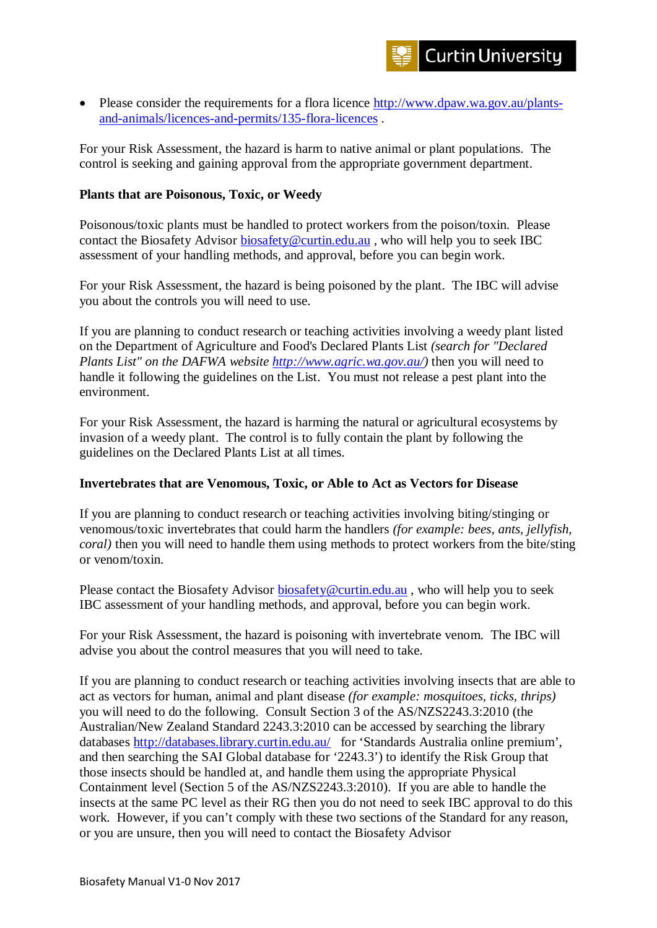• Please consider the requirements for a flora licence [http://www.dpaw.wa.gov.au/plants](http://www.dpaw.wa.gov.au/plants-and-animals/licences-and-permits/135-flora-licences)[and-animals/licences-and-permits/135-flora-licences](http://www.dpaw.wa.gov.au/plants-and-animals/licences-and-permits/135-flora-licences) .

For your Risk Assessment, the hazard is harm to native animal or plant populations. The control is seeking and gaining approval from the appropriate government department.

## **Plants that are Poisonous, Toxic, or Weedy**

Poisonous/toxic plants must be handled to protect workers from the poison/toxin. Please contact the Biosafety Advisor [biosafety@curtin.edu.au](mailto:biosafety@curtin.edu.au) , who will help you to seek IBC assessment of your handling methods, and approval, before you can begin work.

For your Risk Assessment, the hazard is being poisoned by the plant. The IBC will advise you about the controls you will need to use.

If you are planning to conduct research or teaching activities involving a weedy plant listed on the Department of Agriculture and Food's Declared Plants List *(search for "Declared Plants List" on the DAFWA website [http://www.agric.wa.gov.au/\)](http://www.agric.wa.gov.au/)* then you will need to handle it following the guidelines on the List. You must not release a pest plant into the environment.

For your Risk Assessment, the hazard is harming the natural or agricultural ecosystems by invasion of a weedy plant. The control is to fully contain the plant by following the guidelines on the Declared Plants List at all times.

## **Invertebrates that are Venomous, Toxic, or Able to Act as Vectors for Disease**

If you are planning to conduct research or teaching activities involving biting/stinging or venomous/toxic invertebrates that could harm the handlers *(for example: bees, ants, jellyfish, coral)* then you will need to handle them using methods to protect workers from the bite/sting or venom/toxin.

Please contact the Biosafety Advisor [biosafety@curtin.edu.au](mailto:biosafety@curtin.edu.au), who will help you to seek IBC assessment of your handling methods, and approval, before you can begin work.

For your Risk Assessment, the hazard is poisoning with invertebrate venom. The IBC will advise you about the control measures that you will need to take.

If you are planning to conduct research or teaching activities involving insects that are able to act as vectors for human, animal and plant disease *(for example: mosquitoes, ticks, thrips)* you will need to do the following. Consult Section 3 of the AS/NZS2243.3:2010 (the Australian/New Zealand Standard 2243.3:2010 can be accessed by searching the library databases<http://databases.library.curtin.edu.au/>for 'Standards Australia online premium', and then searching the SAI Global database for '2243.3') to identify the Risk Group that those insects should be handled at, and handle them using the appropriate Physical Containment level (Section 5 of the AS/NZS2243.3:2010). If you are able to handle the insects at the same PC level as their RG then you do not need to seek IBC approval to do this work. However, if you can't comply with these two sections of the Standard for any reason, or you are unsure, then you will need to contact the Biosafety Advisor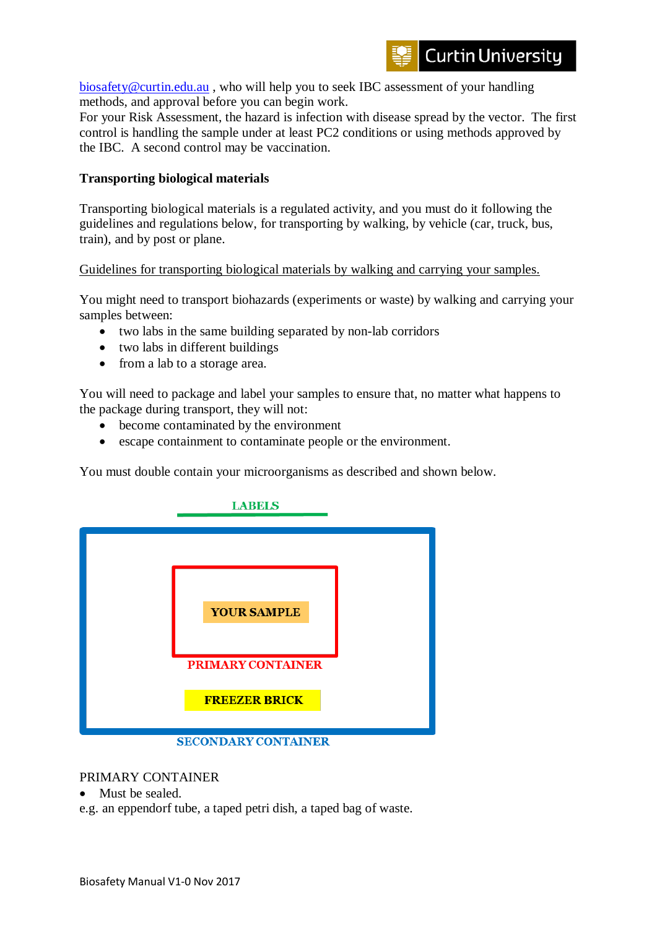[biosafety@curtin.edu.au](mailto:biosafety@curtin.edu.au) , who will help you to seek IBC assessment of your handling methods, and approval before you can begin work.

For your Risk Assessment, the hazard is infection with disease spread by the vector. The first control is handling the sample under at least PC2 conditions or using methods approved by the IBC. A second control may be vaccination.

## **Transporting biological materials**

Transporting biological materials is a regulated activity, and you must do it following the guidelines and regulations below, for transporting by walking, by vehicle (car, truck, bus, train), and by post or plane.

Guidelines for transporting biological materials by walking and carrying your samples.

You might need to transport biohazards (experiments or waste) by walking and carrying your samples between:

- two labs in the same building separated by non-lab corridors
- two labs in different buildings
- from a lab to a storage area.

You will need to package and label your samples to ensure that, no matter what happens to the package during transport, they will not:

- become contaminated by the environment
- escape containment to contaminate people or the environment.

You must double contain your microorganisms as described and shown below.



## PRIMARY CONTAINER

• Must be sealed.

e.g. an eppendorf tube, a taped petri dish, a taped bag of waste.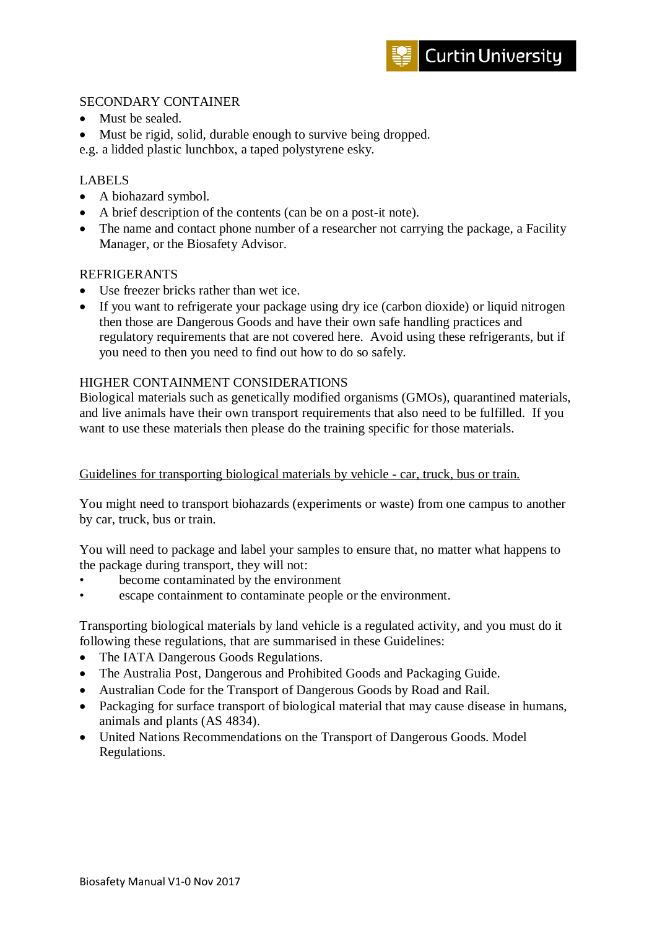## SECONDARY CONTAINER

- Must be sealed.
- Must be rigid, solid, durable enough to survive being dropped.

e.g. a lidded plastic lunchbox, a taped polystyrene esky.

## LABELS

- A biohazard symbol.
- A brief description of the contents (can be on a post-it note).
- The name and contact phone number of a researcher not carrying the package, a Facility Manager, or the Biosafety Advisor.

## REFRIGERANTS

- Use freezer bricks rather than wet ice.
- If you want to refrigerate your package using dry ice (carbon dioxide) or liquid nitrogen then those are Dangerous Goods and have their own safe handling practices and regulatory requirements that are not covered here. Avoid using these refrigerants, but if you need to then you need to find out how to do so safely.

## HIGHER CONTAINMENT CONSIDERATIONS

Biological materials such as genetically modified organisms (GMOs), quarantined materials, and live animals have their own transport requirements that also need to be fulfilled. If you want to use these materials then please do the training specific for those materials.

## Guidelines for transporting biological materials by vehicle - car, truck, bus or train.

You might need to transport biohazards (experiments or waste) from one campus to another by car, truck, bus or train.

You will need to package and label your samples to ensure that, no matter what happens to the package during transport, they will not:

- become contaminated by the environment
- escape containment to contaminate people or the environment.

Transporting biological materials by land vehicle is a regulated activity, and you must do it following these regulations, that are summarised in these Guidelines:

- The IATA Dangerous Goods Regulations.
- The Australia Post, Dangerous and Prohibited Goods and Packaging Guide.
- Australian Code for the Transport of Dangerous Goods by Road and Rail.
- Packaging for surface transport of biological material that may cause disease in humans, animals and plants (AS 4834).
- United Nations Recommendations on the Transport of Dangerous Goods. Model Regulations.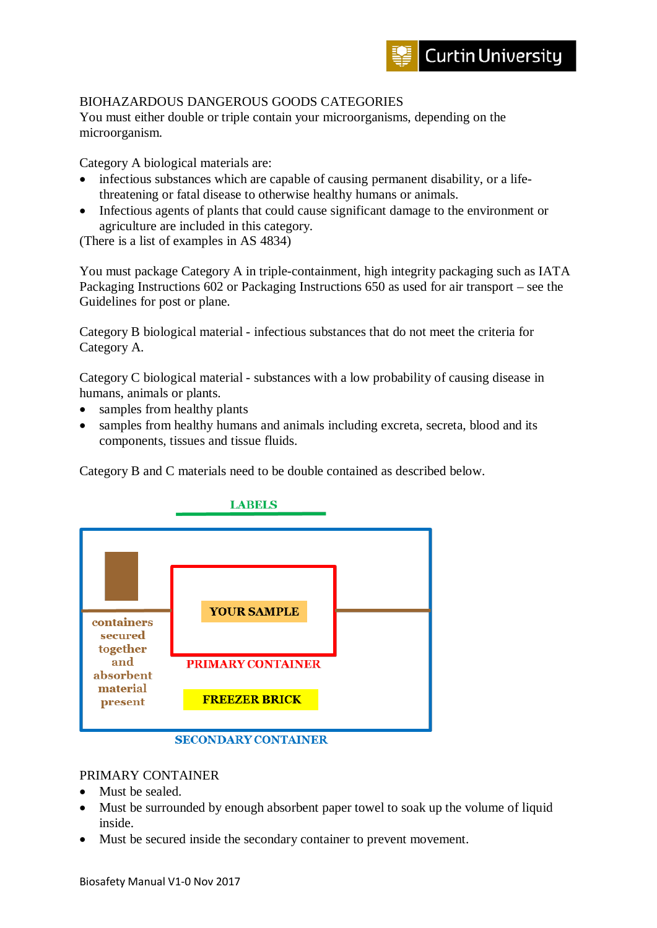

## BIOHAZARDOUS DANGEROUS GOODS CATEGORIES

You must either double or triple contain your microorganisms, depending on the microorganism.

Category A biological materials are:

- infectious substances which are capable of causing permanent disability, or a lifethreatening or fatal disease to otherwise healthy humans or animals.
- Infectious agents of plants that could cause significant damage to the environment or agriculture are included in this category.

(There is a list of examples in AS 4834)

You must package Category A in triple-containment, high integrity packaging such as IATA Packaging Instructions 602 or Packaging Instructions 650 as used for air transport – see the Guidelines for post or plane.

Category B biological material - infectious substances that do not meet the criteria for Category A.

Category C biological material - substances with a low probability of causing disease in humans, animals or plants.

- samples from healthy plants
- samples from healthy humans and animals including excreta, secreta, blood and its components, tissues and tissue fluids.

Category B and C materials need to be double contained as described below.



## **SECONDARY CONTAINER**

## PRIMARY CONTAINER

- Must be sealed.
- Must be surrounded by enough absorbent paper towel to soak up the volume of liquid inside.
- Must be secured inside the secondary container to prevent movement.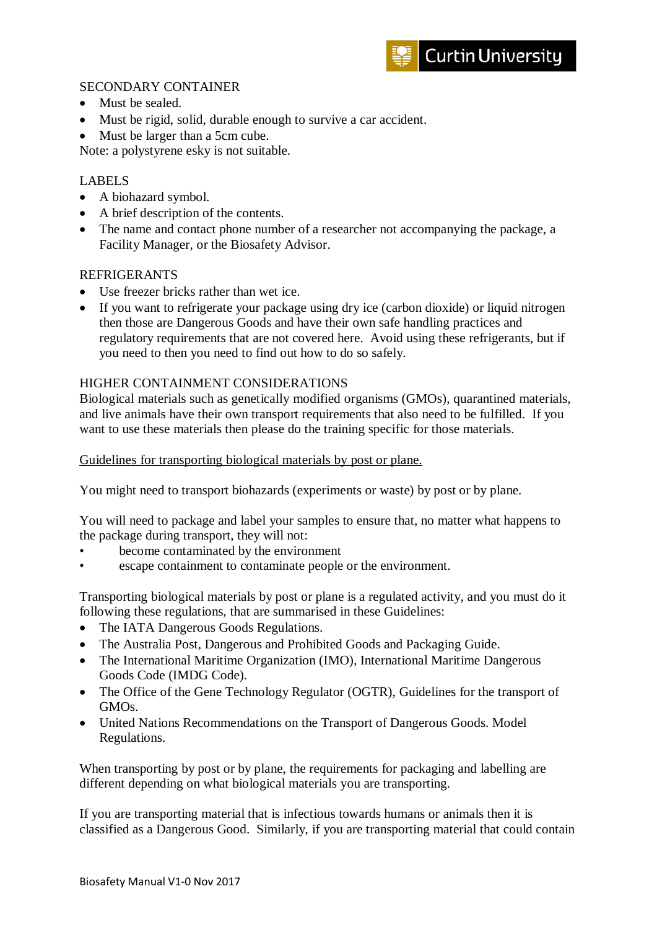## SECONDARY CONTAINER

- Must be sealed.
- Must be rigid, solid, durable enough to survive a car accident.
- Must be larger than a 5cm cube.

Note: a polystyrene esky is not suitable.

## LABELS

- A biohazard symbol.
- A brief description of the contents.
- The name and contact phone number of a researcher not accompanying the package, a Facility Manager, or the Biosafety Advisor.

## REFRIGERANTS

- Use freezer bricks rather than wet ice.
- If you want to refrigerate your package using dry ice (carbon dioxide) or liquid nitrogen then those are Dangerous Goods and have their own safe handling practices and regulatory requirements that are not covered here. Avoid using these refrigerants, but if you need to then you need to find out how to do so safely.

## HIGHER CONTAINMENT CONSIDERATIONS

Biological materials such as genetically modified organisms (GMOs), quarantined materials, and live animals have their own transport requirements that also need to be fulfilled. If you want to use these materials then please do the training specific for those materials.

Guidelines for transporting biological materials by post or plane.

You might need to transport biohazards (experiments or waste) by post or by plane.

You will need to package and label your samples to ensure that, no matter what happens to the package during transport, they will not:

- become contaminated by the environment
- escape containment to contaminate people or the environment.

Transporting biological materials by post or plane is a regulated activity, and you must do it following these regulations, that are summarised in these Guidelines:

- The IATA Dangerous Goods Regulations.
- The Australia Post, Dangerous and Prohibited Goods and Packaging Guide.
- The International Maritime Organization (IMO), International Maritime Dangerous Goods Code (IMDG Code).
- The Office of the Gene Technology Regulator (OGTR), Guidelines for the transport of GMOs.
- United Nations Recommendations on the Transport of Dangerous Goods. Model Regulations.

When transporting by post or by plane, the requirements for packaging and labelling are different depending on what biological materials you are transporting.

If you are transporting material that is infectious towards humans or animals then it is classified as a Dangerous Good. Similarly, if you are transporting material that could contain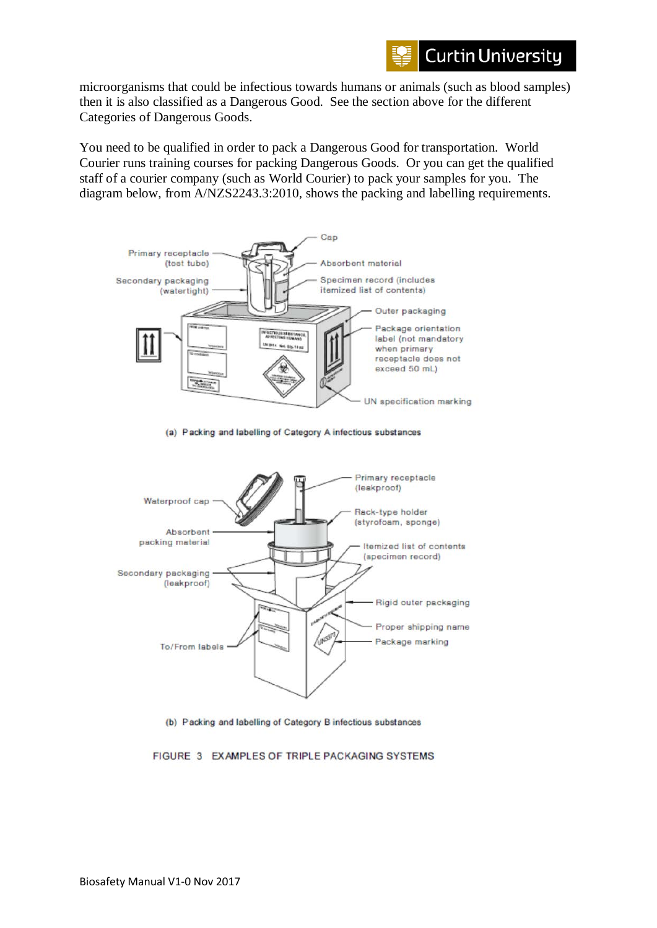

microorganisms that could be infectious towards humans or animals (such as blood samples) then it is also classified as a Dangerous Good. See the section above for the different Categories of Dangerous Goods.

You need to be qualified in order to pack a Dangerous Good for transportation. World Courier runs training courses for packing Dangerous Goods. Or you can get the qualified staff of a courier company (such as World Courier) to pack your samples for you. The diagram below, from A/NZS2243.3:2010, shows the packing and labelling requirements.



(a) Packing and labelling of Category A infectious substances



(b) Packing and labelling of Category B infectious substances

FIGURE 3 EXAMPLES OF TRIPLE PACKAGING SYSTEMS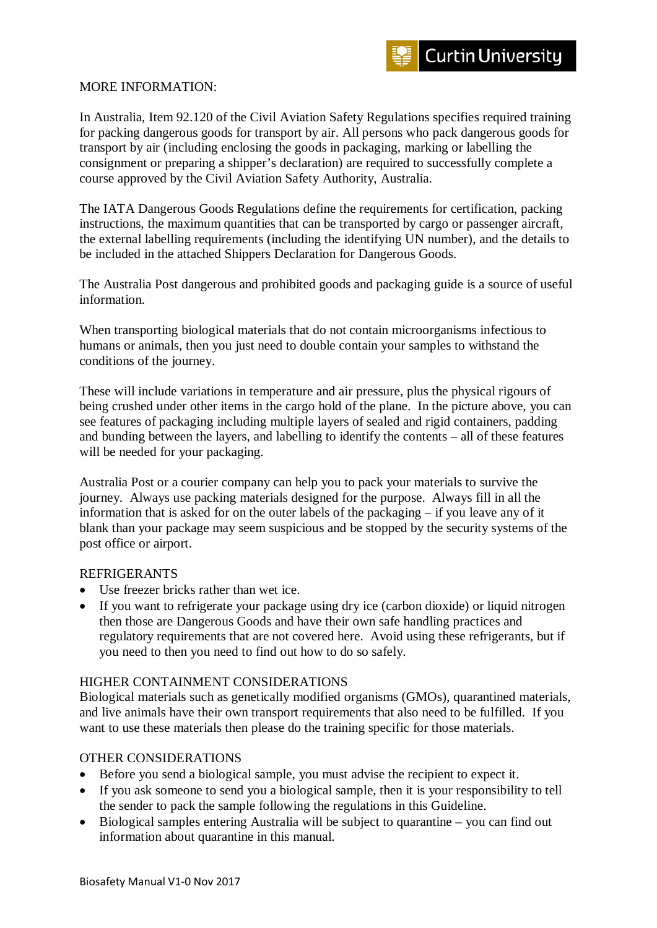

#### MORE INFORMATION:

In Australia, Item 92.120 of the Civil Aviation Safety Regulations specifies required training for packing dangerous goods for transport by air. All persons who pack dangerous goods for transport by air (including enclosing the goods in packaging, marking or labelling the consignment or preparing a shipper's declaration) are required to successfully complete a course approved by the Civil Aviation Safety Authority, Australia.

The IATA Dangerous Goods Regulations define the requirements for certification, packing instructions, the maximum quantities that can be transported by cargo or passenger aircraft, the external labelling requirements (including the identifying UN number), and the details to be included in the attached Shippers Declaration for Dangerous Goods.

The Australia Post dangerous and prohibited goods and packaging guide is a source of useful information.

When transporting biological materials that do not contain microorganisms infectious to humans or animals, then you just need to double contain your samples to withstand the conditions of the journey.

These will include variations in temperature and air pressure, plus the physical rigours of being crushed under other items in the cargo hold of the plane. In the picture above, you can see features of packaging including multiple layers of sealed and rigid containers, padding and bunding between the layers, and labelling to identify the contents – all of these features will be needed for your packaging.

Australia Post or a courier company can help you to pack your materials to survive the journey. Always use packing materials designed for the purpose. Always fill in all the information that is asked for on the outer labels of the packaging – if you leave any of it blank than your package may seem suspicious and be stopped by the security systems of the post office or airport.

#### REFRIGERANTS

- Use freezer bricks rather than wet ice.
- If you want to refrigerate your package using dry ice (carbon dioxide) or liquid nitrogen then those are Dangerous Goods and have their own safe handling practices and regulatory requirements that are not covered here. Avoid using these refrigerants, but if you need to then you need to find out how to do so safely.

## HIGHER CONTAINMENT CONSIDERATIONS

Biological materials such as genetically modified organisms (GMOs), quarantined materials, and live animals have their own transport requirements that also need to be fulfilled. If you want to use these materials then please do the training specific for those materials.

## OTHER CONSIDERATIONS

- Before you send a biological sample, you must advise the recipient to expect it.
- If you ask someone to send you a biological sample, then it is your responsibility to tell the sender to pack the sample following the regulations in this Guideline.
- Biological samples entering Australia will be subject to quarantine you can find out information about quarantine in this manual.